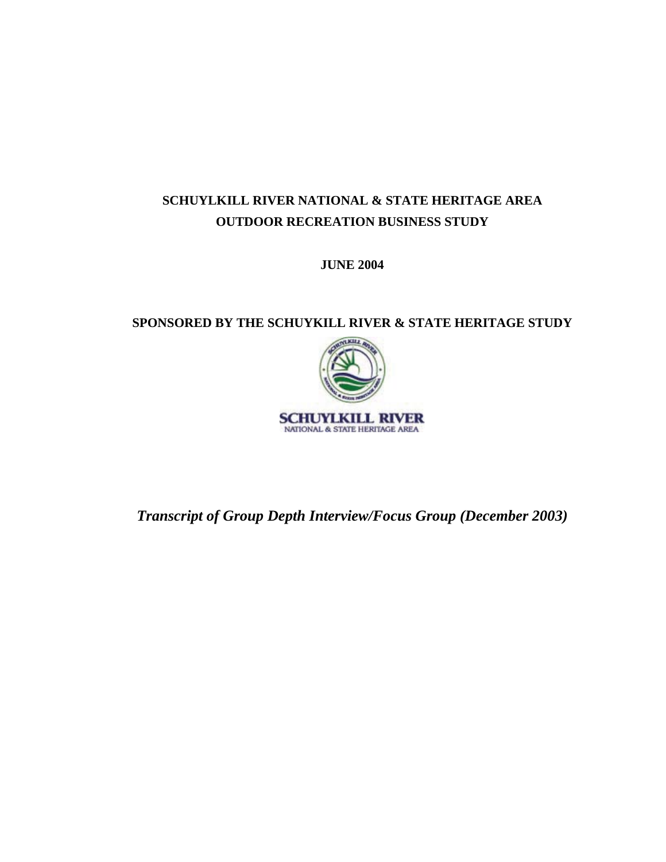## **SCHUYLKILL RIVER NATIONAL & STATE HERITAGE AREA OUTDOOR RECREATION BUSINESS STUDY**

**JUNE 2004** 

## **SPONSORED BY THE SCHUYKILL RIVER & STATE HERITAGE STUDY**



*Transcript of Group Depth Interview/Focus Group (December 2003)*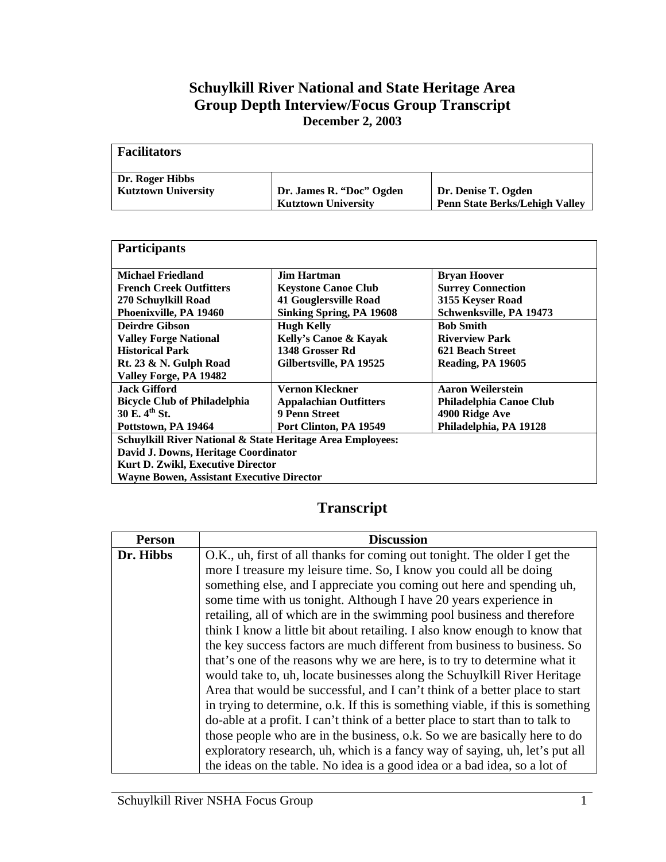## **Schuylkill River National and State Heritage Area Group Depth Interview/Focus Group Transcript December 2, 2003**

| <b>Facilitators</b>        |                            |                                       |
|----------------------------|----------------------------|---------------------------------------|
| Dr. Roger Hibbs            | Dr. James R. "Doc" Ogden   | Dr. Denise T. Ogden                   |
| <b>Kutztown University</b> | <b>Kutztown University</b> | <b>Penn State Berks/Lehigh Valley</b> |

| <b>Participants</b>                                        |                                 |                          |
|------------------------------------------------------------|---------------------------------|--------------------------|
| <b>Michael Friedland</b>                                   | Jim Hartman                     | <b>Bryan Hoover</b>      |
| <b>French Creek Outfitters</b>                             | <b>Keystone Canoe Club</b>      | <b>Surrey Connection</b> |
|                                                            |                                 |                          |
| 270 Schuylkill Road                                        | <b>41 Gouglersville Road</b>    | 3155 Keyser Road         |
| Phoenixville, PA 19460                                     | <b>Sinking Spring, PA 19608</b> | Schwenksville, PA 19473  |
| <b>Deirdre Gibson</b>                                      | <b>Hugh Kelly</b>               | <b>Bob Smith</b>         |
| <b>Valley Forge National</b>                               | Kelly's Canoe & Kayak           | <b>Riverview Park</b>    |
| <b>Historical Park</b>                                     | 1348 Grosser Rd                 | 621 Beach Street         |
| Rt. 23 & N. Gulph Road                                     | Gilbertsville, PA 19525         | Reading, PA 19605        |
| Valley Forge, PA 19482                                     |                                 |                          |
| <b>Jack Gifford</b>                                        | Vernon Kleckner                 | Aaron Weilerstein        |
| <b>Bicycle Club of Philadelphia</b>                        | <b>Appalachian Outfitters</b>   | Philadelphia Canoe Club  |
| 30 E. 4th St.                                              | 9 Penn Street                   | 4900 Ridge Ave           |
| Pottstown, PA 19464                                        | Port Clinton, PA 19549          | Philadelphia, PA 19128   |
| Schuylkill River National & State Heritage Area Employees: |                                 |                          |
| David J. Downs, Heritage Coordinator                       |                                 |                          |
| <b>Kurt D. Zwikl, Executive Director</b>                   |                                 |                          |
| <b>Wayne Bowen, Assistant Executive Director</b>           |                                 |                          |

## **Transcript**

| <b>Person</b> | <b>Discussion</b>                                                              |
|---------------|--------------------------------------------------------------------------------|
| Dr. Hibbs     | O.K., uh, first of all thanks for coming out tonight. The older I get the      |
|               | more I treasure my leisure time. So, I know you could all be doing             |
|               | something else, and I appreciate you coming out here and spending uh,          |
|               | some time with us tonight. Although I have 20 years experience in              |
|               | retailing, all of which are in the swimming pool business and therefore        |
|               | think I know a little bit about retailing. I also know enough to know that     |
|               | the key success factors are much different from business to business. So       |
|               | that's one of the reasons why we are here, is to try to determine what it      |
|               | would take to, uh, locate businesses along the Schuylkill River Heritage       |
|               | Area that would be successful, and I can't think of a better place to start    |
|               | in trying to determine, o.k. If this is something viable, if this is something |
|               | do-able at a profit. I can't think of a better place to start than to talk to  |
|               | those people who are in the business, o.k. So we are basically here to do      |
|               | exploratory research, uh, which is a fancy way of saying, uh, let's put all    |
|               | the ideas on the table. No idea is a good idea or a bad idea, so a lot of      |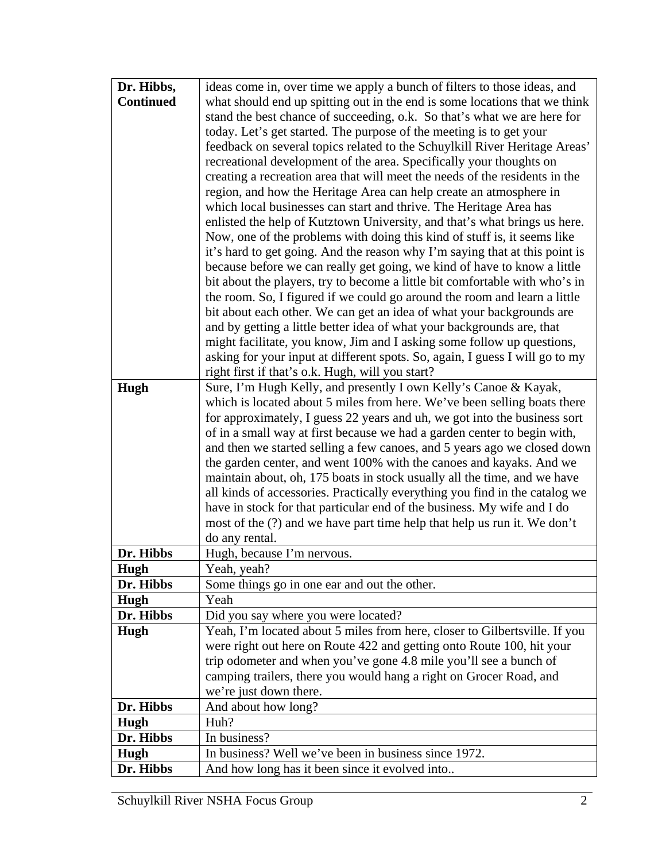| Dr. Hibbs,       | ideas come in, over time we apply a bunch of filters to those ideas, and                   |
|------------------|--------------------------------------------------------------------------------------------|
| <b>Continued</b> | what should end up spitting out in the end is some locations that we think                 |
|                  | stand the best chance of succeeding, o.k. So that's what we are here for                   |
|                  | today. Let's get started. The purpose of the meeting is to get your                        |
|                  | feedback on several topics related to the Schuylkill River Heritage Areas'                 |
|                  | recreational development of the area. Specifically your thoughts on                        |
|                  | creating a recreation area that will meet the needs of the residents in the                |
|                  | region, and how the Heritage Area can help create an atmosphere in                         |
|                  | which local businesses can start and thrive. The Heritage Area has                         |
|                  | enlisted the help of Kutztown University, and that's what brings us here.                  |
|                  | Now, one of the problems with doing this kind of stuff is, it seems like                   |
|                  | it's hard to get going. And the reason why I'm saying that at this point is                |
|                  | because before we can really get going, we kind of have to know a little                   |
|                  | bit about the players, try to become a little bit comfortable with who's in                |
|                  | the room. So, I figured if we could go around the room and learn a little                  |
|                  | bit about each other. We can get an idea of what your backgrounds are                      |
|                  | and by getting a little better idea of what your backgrounds are, that                     |
|                  | might facilitate, you know, Jim and I asking some follow up questions,                     |
|                  | asking for your input at different spots. So, again, I guess I will go to my               |
|                  | right first if that's o.k. Hugh, will you start?                                           |
| Hugh             | Sure, I'm Hugh Kelly, and presently I own Kelly's Canoe & Kayak,                           |
|                  | which is located about 5 miles from here. We've been selling boats there                   |
|                  | for approximately, I guess 22 years and uh, we got into the business sort                  |
|                  | of in a small way at first because we had a garden center to begin with,                   |
|                  | and then we started selling a few canoes, and 5 years ago we closed down                   |
|                  | the garden center, and went 100% with the canoes and kayaks. And we                        |
|                  | maintain about, oh, 175 boats in stock usually all the time, and we have                   |
|                  | all kinds of accessories. Practically everything you find in the catalog we                |
|                  | have in stock for that particular end of the business. My wife and I do                    |
|                  | most of the (?) and we have part time help that help us run it. We don't<br>do any rental. |
| Dr. Hibbs        | Hugh, because I'm nervous.                                                                 |
| Hugh             | Yeah, yeah?                                                                                |
| Dr. Hibbs        | Some things go in one ear and out the other.                                               |
| Hugh             | Yeah                                                                                       |
| Dr. Hibbs        | Did you say where you were located?                                                        |
| Hugh             | Yeah, I'm located about 5 miles from here, closer to Gilbertsville. If you                 |
|                  | were right out here on Route 422 and getting onto Route 100, hit your                      |
|                  | trip odometer and when you've gone 4.8 mile you'll see a bunch of                          |
|                  | camping trailers, there you would hang a right on Grocer Road, and                         |
|                  | we're just down there.                                                                     |
| Dr. Hibbs        | And about how long?                                                                        |
| Hugh             | Huh?                                                                                       |
| Dr. Hibbs        | In business?                                                                               |
| Hugh             | In business? Well we've been in business since 1972.                                       |
| Dr. Hibbs        | And how long has it been since it evolved into                                             |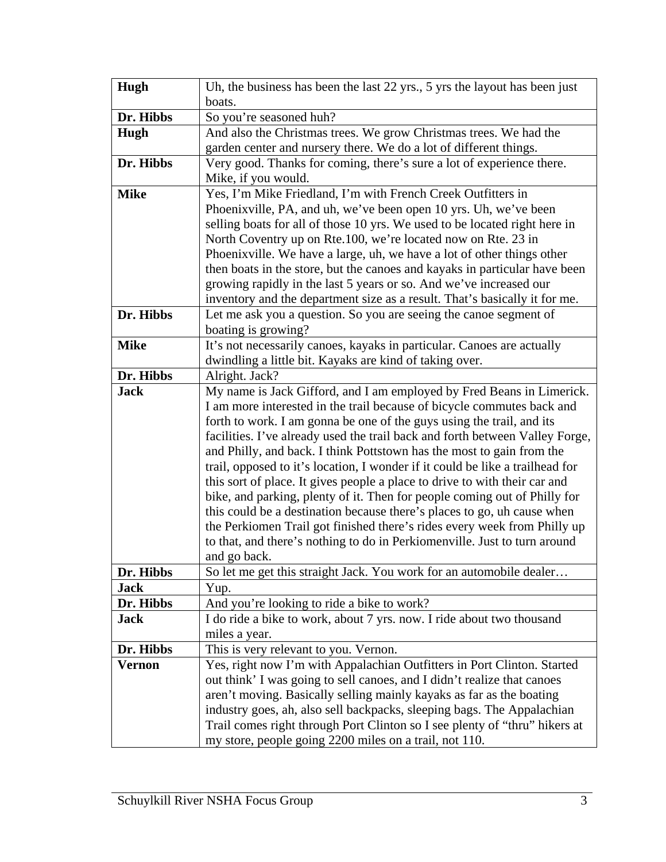| Hugh          | Uh, the business has been the last 22 yrs., 5 yrs the layout has been just                |
|---------------|-------------------------------------------------------------------------------------------|
|               | boats.                                                                                    |
| Dr. Hibbs     | So you're seasoned huh?                                                                   |
| Hugh          | And also the Christmas trees. We grow Christmas trees. We had the                         |
|               | garden center and nursery there. We do a lot of different things.                         |
| Dr. Hibbs     | Very good. Thanks for coming, there's sure a lot of experience there.                     |
|               | Mike, if you would.                                                                       |
| <b>Mike</b>   | Yes, I'm Mike Friedland, I'm with French Creek Outfitters in                              |
|               | Phoenixville, PA, and uh, we've been open 10 yrs. Uh, we've been                          |
|               | selling boats for all of those 10 yrs. We used to be located right here in                |
|               | North Coventry up on Rte.100, we're located now on Rte. 23 in                             |
|               | Phoenixville. We have a large, uh, we have a lot of other things other                    |
|               | then boats in the store, but the canoes and kayaks in particular have been                |
|               | growing rapidly in the last 5 years or so. And we've increased our                        |
|               | inventory and the department size as a result. That's basically it for me.                |
| Dr. Hibbs     | Let me ask you a question. So you are seeing the canoe segment of                         |
|               | boating is growing?                                                                       |
| <b>Mike</b>   | It's not necessarily canoes, kayaks in particular. Canoes are actually                    |
|               | dwindling a little bit. Kayaks are kind of taking over.                                   |
| Dr. Hibbs     | Alright. Jack?                                                                            |
| <b>Jack</b>   | My name is Jack Gifford, and I am employed by Fred Beans in Limerick.                     |
|               | I am more interested in the trail because of bicycle commutes back and                    |
|               | forth to work. I am gonna be one of the guys using the trail, and its                     |
|               | facilities. I've already used the trail back and forth between Valley Forge,              |
|               | and Philly, and back. I think Pottstown has the most to gain from the                     |
|               | trail, opposed to it's location, I wonder if it could be like a trailhead for             |
|               | this sort of place. It gives people a place to drive to with their car and                |
|               | bike, and parking, plenty of it. Then for people coming out of Philly for                 |
|               | this could be a destination because there's places to go, uh cause when                   |
|               | the Perkiomen Trail got finished there's rides every week from Philly up                  |
|               | to that, and there's nothing to do in Perkiomenville. Just to turn around<br>and go back. |
| Dr. Hibbs     |                                                                                           |
| <b>Jack</b>   | So let me get this straight Jack. You work for an automobile dealer                       |
| Dr. Hibbs     | Yup.<br>And you're looking to ride a bike to work?                                        |
| <b>Jack</b>   | I do ride a bike to work, about 7 yrs. now. I ride about two thousand                     |
|               | miles a year.                                                                             |
| Dr. Hibbs     | This is very relevant to you. Vernon.                                                     |
| <b>Vernon</b> | Yes, right now I'm with Appalachian Outfitters in Port Clinton. Started                   |
|               | out think' I was going to sell canoes, and I didn't realize that canoes                   |
|               | aren't moving. Basically selling mainly kayaks as far as the boating                      |
|               | industry goes, ah, also sell backpacks, sleeping bags. The Appalachian                    |
|               | Trail comes right through Port Clinton so I see plenty of "thru" hikers at                |
|               |                                                                                           |
|               | my store, people going 2200 miles on a trail, not 110.                                    |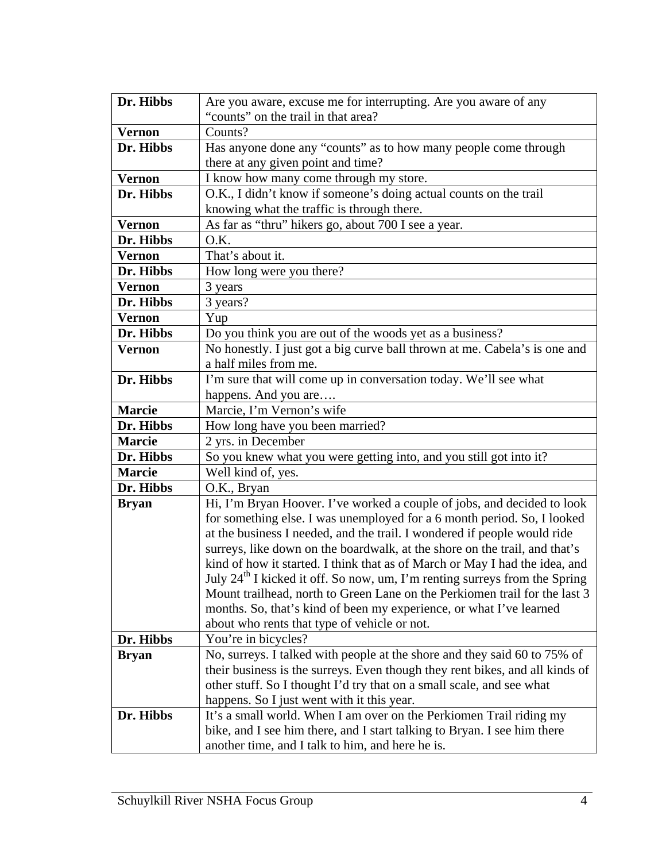| Dr. Hibbs     | Are you aware, excuse me for interrupting. Are you aware of any                        |
|---------------|----------------------------------------------------------------------------------------|
|               | "counts" on the trail in that area?                                                    |
| <b>Vernon</b> | Counts?                                                                                |
| Dr. Hibbs     | Has anyone done any "counts" as to how many people come through                        |
|               | there at any given point and time?                                                     |
| <b>Vernon</b> | I know how many come through my store.                                                 |
| Dr. Hibbs     | O.K., I didn't know if someone's doing actual counts on the trail                      |
|               | knowing what the traffic is through there.                                             |
| <b>Vernon</b> | As far as "thru" hikers go, about 700 I see a year.                                    |
| Dr. Hibbs     | O.K.                                                                                   |
| <b>Vernon</b> | That's about it.                                                                       |
| Dr. Hibbs     | How long were you there?                                                               |
| <b>Vernon</b> | 3 years                                                                                |
| Dr. Hibbs     | 3 years?                                                                               |
| <b>Vernon</b> | Yup                                                                                    |
| Dr. Hibbs     | Do you think you are out of the woods yet as a business?                               |
| <b>Vernon</b> | No honestly. I just got a big curve ball thrown at me. Cabela's is one and             |
|               | a half miles from me.                                                                  |
| Dr. Hibbs     | I'm sure that will come up in conversation today. We'll see what                       |
|               | happens. And you are                                                                   |
| <b>Marcie</b> | Marcie, I'm Vernon's wife                                                              |
| Dr. Hibbs     | How long have you been married?                                                        |
| <b>Marcie</b> | 2 yrs. in December                                                                     |
| Dr. Hibbs     | So you knew what you were getting into, and you still got into it?                     |
| <b>Marcie</b> | Well kind of, yes.                                                                     |
| Dr. Hibbs     | O.K., Bryan                                                                            |
| <b>Bryan</b>  | Hi, I'm Bryan Hoover. I've worked a couple of jobs, and decided to look                |
|               | for something else. I was unemployed for a 6 month period. So, I looked                |
|               | at the business I needed, and the trail. I wondered if people would ride               |
|               | surreys, like down on the boardwalk, at the shore on the trail, and that's             |
|               | kind of how it started. I think that as of March or May I had the idea, and            |
|               | July 24 <sup>th</sup> I kicked it off. So now, um, I'm renting surreys from the Spring |
|               | Mount trailhead, north to Green Lane on the Perkiomen trail for the last 3             |
|               | months. So, that's kind of been my experience, or what I've learned                    |
|               | about who rents that type of vehicle or not.                                           |
| Dr. Hibbs     | You're in bicycles?                                                                    |
| <b>Bryan</b>  | No, surreys. I talked with people at the shore and they said 60 to 75% of              |
|               | their business is the surreys. Even though they rent bikes, and all kinds of           |
|               | other stuff. So I thought I'd try that on a small scale, and see what                  |
|               | happens. So I just went with it this year.                                             |
| Dr. Hibbs     | It's a small world. When I am over on the Perkiomen Trail riding my                    |
|               | bike, and I see him there, and I start talking to Bryan. I see him there               |
|               | another time, and I talk to him, and here he is.                                       |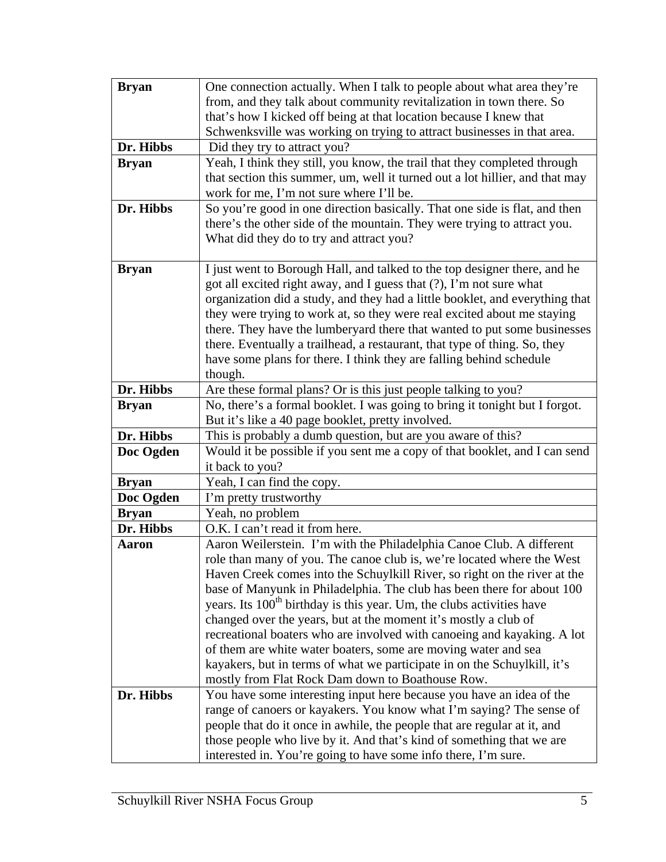| <b>Bryan</b> | One connection actually. When I talk to people about what area they're                                                                              |
|--------------|-----------------------------------------------------------------------------------------------------------------------------------------------------|
|              | from, and they talk about community revitalization in town there. So                                                                                |
|              | that's how I kicked off being at that location because I knew that                                                                                  |
|              | Schwenksville was working on trying to attract businesses in that area.                                                                             |
| Dr. Hibbs    | Did they try to attract you?                                                                                                                        |
| <b>Bryan</b> | Yeah, I think they still, you know, the trail that they completed through                                                                           |
|              | that section this summer, um, well it turned out a lot hillier, and that may                                                                        |
|              | work for me, I'm not sure where I'll be.                                                                                                            |
| Dr. Hibbs    | So you're good in one direction basically. That one side is flat, and then                                                                          |
|              | there's the other side of the mountain. They were trying to attract you.                                                                            |
|              | What did they do to try and attract you?                                                                                                            |
|              |                                                                                                                                                     |
| <b>Bryan</b> | I just went to Borough Hall, and talked to the top designer there, and he                                                                           |
|              | got all excited right away, and I guess that (?), I'm not sure what<br>organization did a study, and they had a little booklet, and everything that |
|              | they were trying to work at, so they were real excited about me staying                                                                             |
|              | there. They have the lumberyard there that wanted to put some businesses                                                                            |
|              | there. Eventually a trailhead, a restaurant, that type of thing. So, they                                                                           |
|              | have some plans for there. I think they are falling behind schedule                                                                                 |
|              | though.                                                                                                                                             |
| Dr. Hibbs    | Are these formal plans? Or is this just people talking to you?                                                                                      |
| <b>Bryan</b> | No, there's a formal booklet. I was going to bring it tonight but I forgot.                                                                         |
|              | But it's like a 40 page booklet, pretty involved.                                                                                                   |
| Dr. Hibbs    | This is probably a dumb question, but are you aware of this?                                                                                        |
| Doc Ogden    | Would it be possible if you sent me a copy of that booklet, and I can send                                                                          |
|              | it back to you?                                                                                                                                     |
| <b>Bryan</b> | Yeah, I can find the copy.                                                                                                                          |
| Doc Ogden    | I'm pretty trustworthy                                                                                                                              |
| <b>Bryan</b> | Yeah, no problem                                                                                                                                    |
| Dr. Hibbs    | O.K. I can't read it from here.                                                                                                                     |
| Aaron        | Aaron Weilerstein. I'm with the Philadelphia Canoe Club. A different                                                                                |
|              | role than many of you. The canoe club is, we're located where the West                                                                              |
|              | Haven Creek comes into the Schuylkill River, so right on the river at the                                                                           |
|              | base of Manyunk in Philadelphia. The club has been there for about 100                                                                              |
|              | years. Its 100 <sup>th</sup> birthday is this year. Um, the clubs activities have                                                                   |
|              | changed over the years, but at the moment it's mostly a club of                                                                                     |
|              | recreational boaters who are involved with canoeing and kayaking. A lot                                                                             |
|              | of them are white water boaters, some are moving water and sea<br>kayakers, but in terms of what we participate in on the Schuylkill, it's          |
|              | mostly from Flat Rock Dam down to Boathouse Row.                                                                                                    |
| Dr. Hibbs    | You have some interesting input here because you have an idea of the                                                                                |
|              | range of canoers or kayakers. You know what I'm saying? The sense of                                                                                |
|              | people that do it once in awhile, the people that are regular at it, and                                                                            |
|              | those people who live by it. And that's kind of something that we are                                                                               |
|              | interested in. You're going to have some info there, I'm sure.                                                                                      |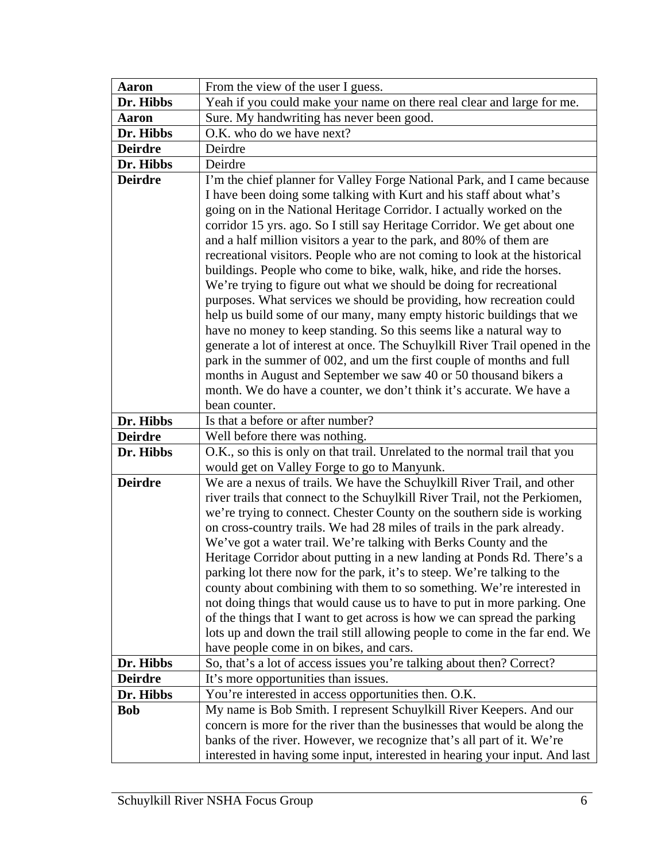| Aaron          | From the view of the user I guess.                                                                                                                                                                                                                                                                                                                                                                                                                                                                                                                                                                                                                                                                                                                                                                                                                                                                                                                                                                                                                           |
|----------------|--------------------------------------------------------------------------------------------------------------------------------------------------------------------------------------------------------------------------------------------------------------------------------------------------------------------------------------------------------------------------------------------------------------------------------------------------------------------------------------------------------------------------------------------------------------------------------------------------------------------------------------------------------------------------------------------------------------------------------------------------------------------------------------------------------------------------------------------------------------------------------------------------------------------------------------------------------------------------------------------------------------------------------------------------------------|
| Dr. Hibbs      | Yeah if you could make your name on there real clear and large for me.                                                                                                                                                                                                                                                                                                                                                                                                                                                                                                                                                                                                                                                                                                                                                                                                                                                                                                                                                                                       |
| <b>Aaron</b>   | Sure. My handwriting has never been good.                                                                                                                                                                                                                                                                                                                                                                                                                                                                                                                                                                                                                                                                                                                                                                                                                                                                                                                                                                                                                    |
| Dr. Hibbs      | O.K. who do we have next?                                                                                                                                                                                                                                                                                                                                                                                                                                                                                                                                                                                                                                                                                                                                                                                                                                                                                                                                                                                                                                    |
| <b>Deirdre</b> | Deirdre                                                                                                                                                                                                                                                                                                                                                                                                                                                                                                                                                                                                                                                                                                                                                                                                                                                                                                                                                                                                                                                      |
| Dr. Hibbs      | Deirdre                                                                                                                                                                                                                                                                                                                                                                                                                                                                                                                                                                                                                                                                                                                                                                                                                                                                                                                                                                                                                                                      |
| <b>Deirdre</b> | I'm the chief planner for Valley Forge National Park, and I came because<br>I have been doing some talking with Kurt and his staff about what's<br>going on in the National Heritage Corridor. I actually worked on the<br>corridor 15 yrs. ago. So I still say Heritage Corridor. We get about one<br>and a half million visitors a year to the park, and 80% of them are<br>recreational visitors. People who are not coming to look at the historical<br>buildings. People who come to bike, walk, hike, and ride the horses.<br>We're trying to figure out what we should be doing for recreational<br>purposes. What services we should be providing, how recreation could<br>help us build some of our many, many empty historic buildings that we<br>have no money to keep standing. So this seems like a natural way to<br>generate a lot of interest at once. The Schuylkill River Trail opened in the<br>park in the summer of 002, and um the first couple of months and full<br>months in August and September we saw 40 or 50 thousand bikers a |
|                | month. We do have a counter, we don't think it's accurate. We have a                                                                                                                                                                                                                                                                                                                                                                                                                                                                                                                                                                                                                                                                                                                                                                                                                                                                                                                                                                                         |
|                | bean counter.                                                                                                                                                                                                                                                                                                                                                                                                                                                                                                                                                                                                                                                                                                                                                                                                                                                                                                                                                                                                                                                |
| Dr. Hibbs      | Is that a before or after number?                                                                                                                                                                                                                                                                                                                                                                                                                                                                                                                                                                                                                                                                                                                                                                                                                                                                                                                                                                                                                            |
| <b>Deirdre</b> | Well before there was nothing.                                                                                                                                                                                                                                                                                                                                                                                                                                                                                                                                                                                                                                                                                                                                                                                                                                                                                                                                                                                                                               |
| Dr. Hibbs      | O.K., so this is only on that trail. Unrelated to the normal trail that you                                                                                                                                                                                                                                                                                                                                                                                                                                                                                                                                                                                                                                                                                                                                                                                                                                                                                                                                                                                  |
|                | would get on Valley Forge to go to Manyunk.                                                                                                                                                                                                                                                                                                                                                                                                                                                                                                                                                                                                                                                                                                                                                                                                                                                                                                                                                                                                                  |
| <b>Deirdre</b> | We are a nexus of trails. We have the Schuylkill River Trail, and other<br>river trails that connect to the Schuylkill River Trail, not the Perkiomen,<br>we're trying to connect. Chester County on the southern side is working<br>on cross-country trails. We had 28 miles of trails in the park already.<br>We've got a water trail. We're talking with Berks County and the<br>Heritage Corridor about putting in a new landing at Ponds Rd. There's a<br>parking lot there now for the park, it's to steep. We're talking to the<br>county about combining with them to so something. We're interested in<br>not doing things that would cause us to have to put in more parking. One<br>of the things that I want to get across is how we can spread the parking<br>lots up and down the trail still allowing people to come in the far end. We<br>have people come in on bikes, and cars.                                                                                                                                                            |
| Dr. Hibbs      | So, that's a lot of access issues you're talking about then? Correct?                                                                                                                                                                                                                                                                                                                                                                                                                                                                                                                                                                                                                                                                                                                                                                                                                                                                                                                                                                                        |
| <b>Deirdre</b> | It's more opportunities than issues.                                                                                                                                                                                                                                                                                                                                                                                                                                                                                                                                                                                                                                                                                                                                                                                                                                                                                                                                                                                                                         |
| Dr. Hibbs      | You're interested in access opportunities then. O.K.                                                                                                                                                                                                                                                                                                                                                                                                                                                                                                                                                                                                                                                                                                                                                                                                                                                                                                                                                                                                         |
| <b>Bob</b>     | My name is Bob Smith. I represent Schuylkill River Keepers. And our<br>concern is more for the river than the businesses that would be along the<br>banks of the river. However, we recognize that's all part of it. We're<br>interested in having some input, interested in hearing your input. And last                                                                                                                                                                                                                                                                                                                                                                                                                                                                                                                                                                                                                                                                                                                                                    |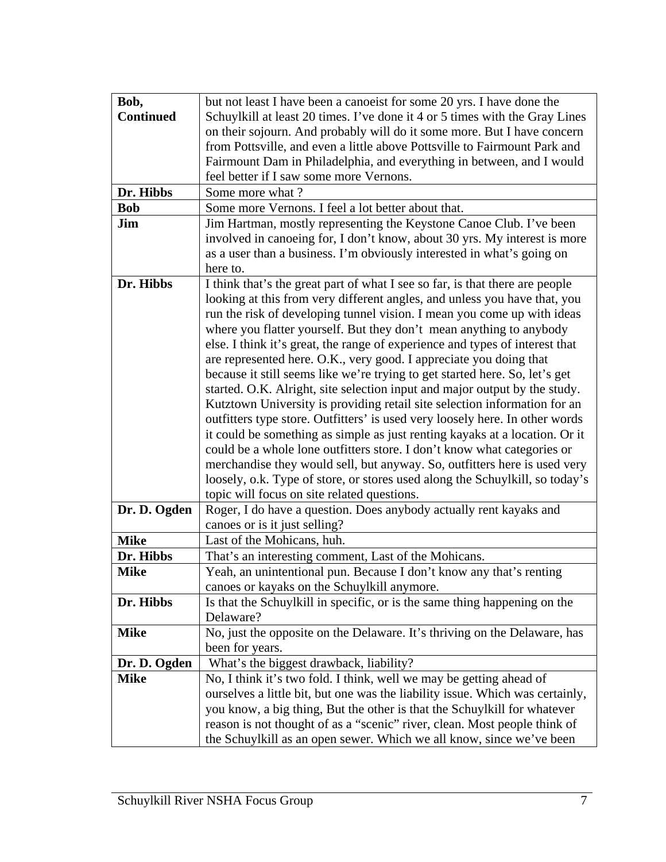| Bob,             | but not least I have been a canoeist for some 20 yrs. I have done the         |
|------------------|-------------------------------------------------------------------------------|
| <b>Continued</b> | Schuylkill at least 20 times. I've done it 4 or 5 times with the Gray Lines   |
|                  | on their sojourn. And probably will do it some more. But I have concern       |
|                  | from Pottsville, and even a little above Pottsville to Fairmount Park and     |
|                  | Fairmount Dam in Philadelphia, and everything in between, and I would         |
|                  | feel better if I saw some more Vernons.                                       |
| Dr. Hibbs        | Some more what?                                                               |
| <b>Bob</b>       | Some more Vernons. I feel a lot better about that.                            |
| Jim              | Jim Hartman, mostly representing the Keystone Canoe Club. I've been           |
|                  | involved in canoeing for, I don't know, about 30 yrs. My interest is more     |
|                  | as a user than a business. I'm obviously interested in what's going on        |
|                  | here to.                                                                      |
| Dr. Hibbs        | I think that's the great part of what I see so far, is that there are people  |
|                  | looking at this from very different angles, and unless you have that, you     |
|                  | run the risk of developing tunnel vision. I mean you come up with ideas       |
|                  | where you flatter yourself. But they don't mean anything to anybody           |
|                  | else. I think it's great, the range of experience and types of interest that  |
|                  | are represented here. O.K., very good. I appreciate you doing that            |
|                  | because it still seems like we're trying to get started here. So, let's get   |
|                  | started. O.K. Alright, site selection input and major output by the study.    |
|                  | Kutztown University is providing retail site selection information for an     |
|                  | outfitters type store. Outfitters' is used very loosely here. In other words  |
|                  | it could be something as simple as just renting kayaks at a location. Or it   |
|                  | could be a whole lone outfitters store. I don't know what categories or       |
|                  | merchandise they would sell, but anyway. So, outfitters here is used very     |
|                  | loosely, o.k. Type of store, or stores used along the Schuylkill, so today's  |
|                  | topic will focus on site related questions.                                   |
| Dr. D. Ogden     | Roger, I do have a question. Does anybody actually rent kayaks and            |
|                  | canoes or is it just selling?                                                 |
| <b>Mike</b>      | Last of the Mohicans, huh.                                                    |
| Dr. Hibbs        | That's an interesting comment, Last of the Mohicans.                          |
| <b>Mike</b>      | Yeah, an unintentional pun. Because I don't know any that's renting           |
|                  | canoes or kayaks on the Schuylkill anymore.                                   |
| Dr. Hibbs        | Is that the Schuylkill in specific, or is the same thing happening on the     |
|                  | Delaware?                                                                     |
| <b>Mike</b>      | No, just the opposite on the Delaware. It's thriving on the Delaware, has     |
|                  | been for years.                                                               |
| Dr. D. Ogden     | What's the biggest drawback, liability?                                       |
| <b>Mike</b>      | No, I think it's two fold. I think, well we may be getting ahead of           |
|                  | ourselves a little bit, but one was the liability issue. Which was certainly, |
|                  | you know, a big thing, But the other is that the Schuylkill for whatever      |
|                  | reason is not thought of as a "scenic" river, clean. Most people think of     |
|                  | the Schuylkill as an open sewer. Which we all know, since we've been          |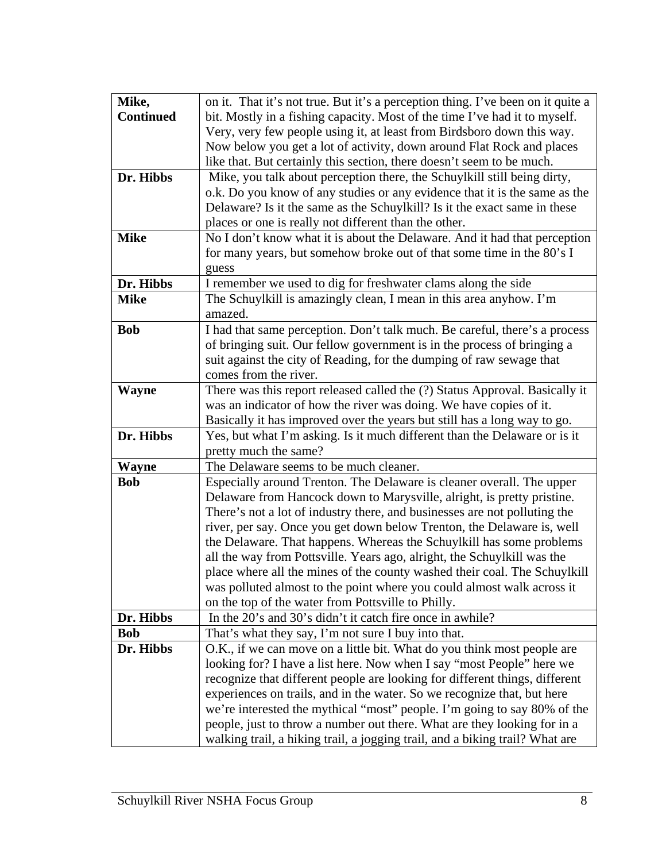| Mike,            | on it. That it's not true. But it's a perception thing. I've been on it quite a                                              |
|------------------|------------------------------------------------------------------------------------------------------------------------------|
| <b>Continued</b> | bit. Mostly in a fishing capacity. Most of the time I've had it to myself.                                                   |
|                  | Very, very few people using it, at least from Birdsboro down this way.                                                       |
|                  | Now below you get a lot of activity, down around Flat Rock and places                                                        |
|                  | like that. But certainly this section, there doesn't seem to be much.                                                        |
| Dr. Hibbs        | Mike, you talk about perception there, the Schuylkill still being dirty,                                                     |
|                  | o.k. Do you know of any studies or any evidence that it is the same as the                                                   |
|                  | Delaware? Is it the same as the Schuylkill? Is it the exact same in these                                                    |
|                  | places or one is really not different than the other.                                                                        |
| <b>Mike</b>      | No I don't know what it is about the Delaware. And it had that perception                                                    |
|                  | for many years, but somehow broke out of that some time in the 80's I                                                        |
|                  | guess                                                                                                                        |
| Dr. Hibbs        | I remember we used to dig for freshwater clams along the side                                                                |
| <b>Mike</b>      | The Schuylkill is amazingly clean, I mean in this area anyhow. I'm                                                           |
|                  | amazed.                                                                                                                      |
| <b>Bob</b>       | I had that same perception. Don't talk much. Be careful, there's a process                                                   |
|                  | of bringing suit. Our fellow government is in the process of bringing a                                                      |
|                  | suit against the city of Reading, for the dumping of raw sewage that                                                         |
|                  | comes from the river.                                                                                                        |
| <b>Wayne</b>     | There was this report released called the (?) Status Approval. Basically it                                                  |
|                  | was an indicator of how the river was doing. We have copies of it.                                                           |
|                  | Basically it has improved over the years but still has a long way to go.                                                     |
| Dr. Hibbs        | Yes, but what I'm asking. Is it much different than the Delaware or is it                                                    |
|                  | pretty much the same?                                                                                                        |
| <b>Wayne</b>     | The Delaware seems to be much cleaner.                                                                                       |
| <b>Bob</b>       | Especially around Trenton. The Delaware is cleaner overall. The upper                                                        |
|                  | Delaware from Hancock down to Marysville, alright, is pretty pristine.                                                       |
|                  | There's not a lot of industry there, and businesses are not polluting the                                                    |
|                  | river, per say. Once you get down below Trenton, the Delaware is, well                                                       |
|                  | the Delaware. That happens. Whereas the Schuylkill has some problems                                                         |
|                  | all the way from Pottsville. Years ago, alright, the Schuylkill was the                                                      |
|                  | place where all the mines of the county washed their coal. The Schuylkill                                                    |
|                  | was polluted almost to the point where you could almost walk across it<br>on the top of the water from Pottsville to Philly. |
| Dr. Hibbs        | In the 20's and 30's didn't it catch fire once in awhile?                                                                    |
| <b>Bob</b>       | That's what they say, I'm not sure I buy into that.                                                                          |
| Dr. Hibbs        | O.K., if we can move on a little bit. What do you think most people are                                                      |
|                  | looking for? I have a list here. Now when I say "most People" here we                                                        |
|                  | recognize that different people are looking for different things, different                                                  |
|                  | experiences on trails, and in the water. So we recognize that, but here                                                      |
|                  | we're interested the mythical "most" people. I'm going to say 80% of the                                                     |
|                  | people, just to throw a number out there. What are they looking for in a                                                     |
|                  | walking trail, a hiking trail, a jogging trail, and a biking trail? What are                                                 |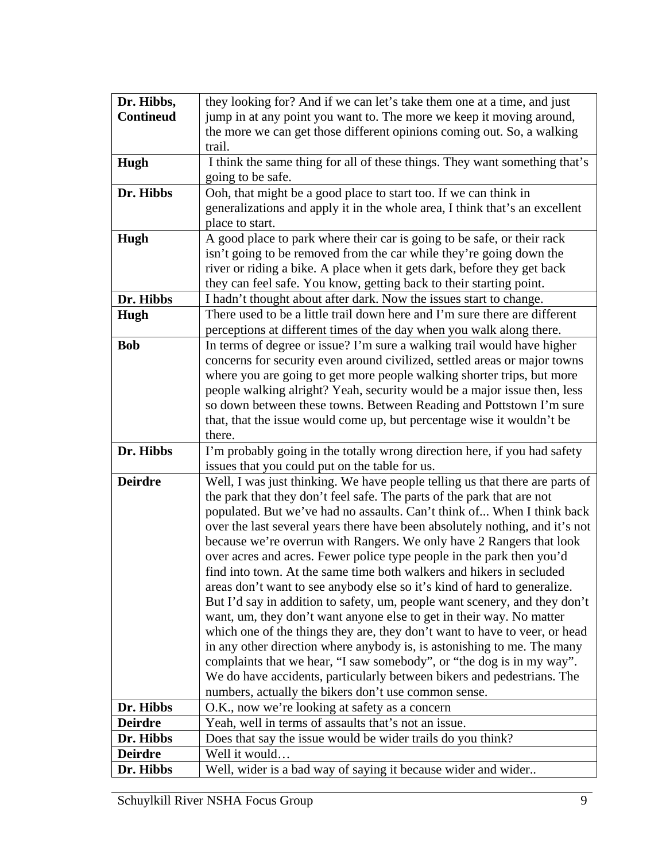| Dr. Hibbs,       | they looking for? And if we can let's take them one at a time, and just                                                        |
|------------------|--------------------------------------------------------------------------------------------------------------------------------|
| <b>Contineud</b> | jump in at any point you want to. The more we keep it moving around,                                                           |
|                  | the more we can get those different opinions coming out. So, a walking                                                         |
|                  | trail.                                                                                                                         |
| Hugh             | I think the same thing for all of these things. They want something that's                                                     |
|                  | going to be safe.                                                                                                              |
| Dr. Hibbs        | Ooh, that might be a good place to start too. If we can think in                                                               |
|                  | generalizations and apply it in the whole area, I think that's an excellent                                                    |
|                  | place to start.                                                                                                                |
| Hugh             | A good place to park where their car is going to be safe, or their rack                                                        |
|                  | isn't going to be removed from the car while they're going down the                                                            |
|                  | river or riding a bike. A place when it gets dark, before they get back                                                        |
|                  | they can feel safe. You know, getting back to their starting point.                                                            |
| Dr. Hibbs        | I hadn't thought about after dark. Now the issues start to change.                                                             |
| Hugh             | There used to be a little trail down here and I'm sure there are different                                                     |
|                  | perceptions at different times of the day when you walk along there.                                                           |
| <b>Bob</b>       | In terms of degree or issue? I'm sure a walking trail would have higher                                                        |
|                  | concerns for security even around civilized, settled areas or major towns                                                      |
|                  | where you are going to get more people walking shorter trips, but more                                                         |
|                  | people walking alright? Yeah, security would be a major issue then, less                                                       |
|                  | so down between these towns. Between Reading and Pottstown I'm sure                                                            |
|                  | that, that the issue would come up, but percentage wise it wouldn't be                                                         |
|                  | there.                                                                                                                         |
| Dr. Hibbs        | I'm probably going in the totally wrong direction here, if you had safety                                                      |
| <b>Deirdre</b>   | issues that you could put on the table for us.<br>Well, I was just thinking. We have people telling us that there are parts of |
|                  | the park that they don't feel safe. The parts of the park that are not                                                         |
|                  | populated. But we've had no assaults. Can't think of When I think back                                                         |
|                  | over the last several years there have been absolutely nothing, and it's not                                                   |
|                  | because we're overrun with Rangers. We only have 2 Rangers that look                                                           |
|                  | over acres and acres. Fewer police type people in the park then you'd                                                          |
|                  | find into town. At the same time both walkers and hikers in secluded                                                           |
|                  | areas don't want to see anybody else so it's kind of hard to generalize.                                                       |
|                  | But I'd say in addition to safety, um, people want scenery, and they don't                                                     |
|                  | want, um, they don't want anyone else to get in their way. No matter                                                           |
|                  | which one of the things they are, they don't want to have to veer, or head                                                     |
|                  | in any other direction where anybody is, is astonishing to me. The many                                                        |
|                  | complaints that we hear, "I saw somebody", or "the dog is in my way".                                                          |
|                  | We do have accidents, particularly between bikers and pedestrians. The                                                         |
|                  | numbers, actually the bikers don't use common sense.                                                                           |
| Dr. Hibbs        | O.K., now we're looking at safety as a concern                                                                                 |
| <b>Deirdre</b>   | Yeah, well in terms of assaults that's not an issue.                                                                           |
| Dr. Hibbs        | Does that say the issue would be wider trails do you think?                                                                    |
| <b>Deirdre</b>   | Well it would                                                                                                                  |
| Dr. Hibbs        | Well, wider is a bad way of saying it because wider and wider                                                                  |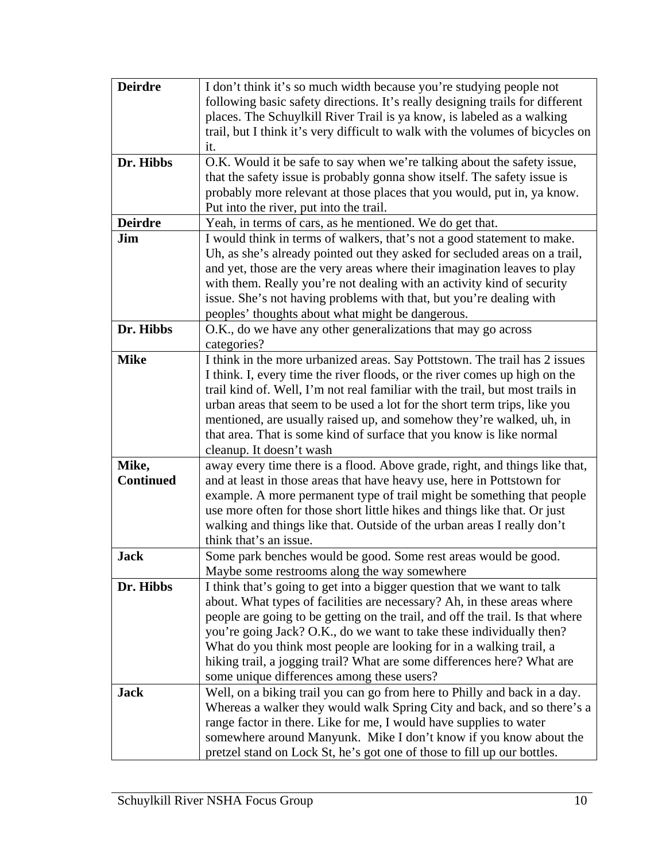| <b>Deirdre</b>   | I don't think it's so much width because you're studying people not                                                                                      |
|------------------|----------------------------------------------------------------------------------------------------------------------------------------------------------|
|                  | following basic safety directions. It's really designing trails for different                                                                            |
|                  | places. The Schuylkill River Trail is ya know, is labeled as a walking                                                                                   |
|                  | trail, but I think it's very difficult to walk with the volumes of bicycles on                                                                           |
|                  | it.                                                                                                                                                      |
| Dr. Hibbs        | O.K. Would it be safe to say when we're talking about the safety issue,                                                                                  |
|                  | that the safety issue is probably gonna show itself. The safety issue is                                                                                 |
|                  | probably more relevant at those places that you would, put in, ya know.                                                                                  |
|                  | Put into the river, put into the trail.                                                                                                                  |
| <b>Deirdre</b>   | Yeah, in terms of cars, as he mentioned. We do get that.                                                                                                 |
| Jim              | I would think in terms of walkers, that's not a good statement to make.                                                                                  |
|                  | Uh, as she's already pointed out they asked for secluded areas on a trail,                                                                               |
|                  | and yet, those are the very areas where their imagination leaves to play                                                                                 |
|                  | with them. Really you're not dealing with an activity kind of security                                                                                   |
|                  | issue. She's not having problems with that, but you're dealing with                                                                                      |
|                  | peoples' thoughts about what might be dangerous.                                                                                                         |
| Dr. Hibbs        | O.K., do we have any other generalizations that may go across                                                                                            |
|                  | categories?                                                                                                                                              |
| <b>Mike</b>      | I think in the more urbanized areas. Say Pottstown. The trail has 2 issues                                                                               |
|                  | I think. I, every time the river floods, or the river comes up high on the                                                                               |
|                  | trail kind of. Well, I'm not real familiar with the trail, but most trails in                                                                            |
|                  | urban areas that seem to be used a lot for the short term trips, like you                                                                                |
|                  | mentioned, are usually raised up, and somehow they're walked, uh, in                                                                                     |
|                  | that area. That is some kind of surface that you know is like normal                                                                                     |
|                  | cleanup. It doesn't wash                                                                                                                                 |
| Mike,            | away every time there is a flood. Above grade, right, and things like that,                                                                              |
| <b>Continued</b> | and at least in those areas that have heavy use, here in Pottstown for                                                                                   |
|                  | example. A more permanent type of trail might be something that people                                                                                   |
|                  | use more often for those short little hikes and things like that. Or just                                                                                |
|                  | walking and things like that. Outside of the urban areas I really don't                                                                                  |
|                  | think that's an issue.                                                                                                                                   |
| <b>Jack</b>      | Some park benches would be good. Some rest areas would be good.                                                                                          |
|                  | Maybe some restrooms along the way somewhere                                                                                                             |
| Dr. Hibbs        | I think that's going to get into a bigger question that we want to talk                                                                                  |
|                  | about. What types of facilities are necessary? Ah, in these areas where<br>people are going to be getting on the trail, and off the trail. Is that where |
|                  | you're going Jack? O.K., do we want to take these individually then?                                                                                     |
|                  | What do you think most people are looking for in a walking trail, a                                                                                      |
|                  | hiking trail, a jogging trail? What are some differences here? What are                                                                                  |
|                  | some unique differences among these users?                                                                                                               |
| <b>Jack</b>      | Well, on a biking trail you can go from here to Philly and back in a day.                                                                                |
|                  | Whereas a walker they would walk Spring City and back, and so there's a                                                                                  |
|                  | range factor in there. Like for me, I would have supplies to water                                                                                       |
|                  | somewhere around Manyunk. Mike I don't know if you know about the                                                                                        |
|                  | pretzel stand on Lock St, he's got one of those to fill up our bottles.                                                                                  |
|                  |                                                                                                                                                          |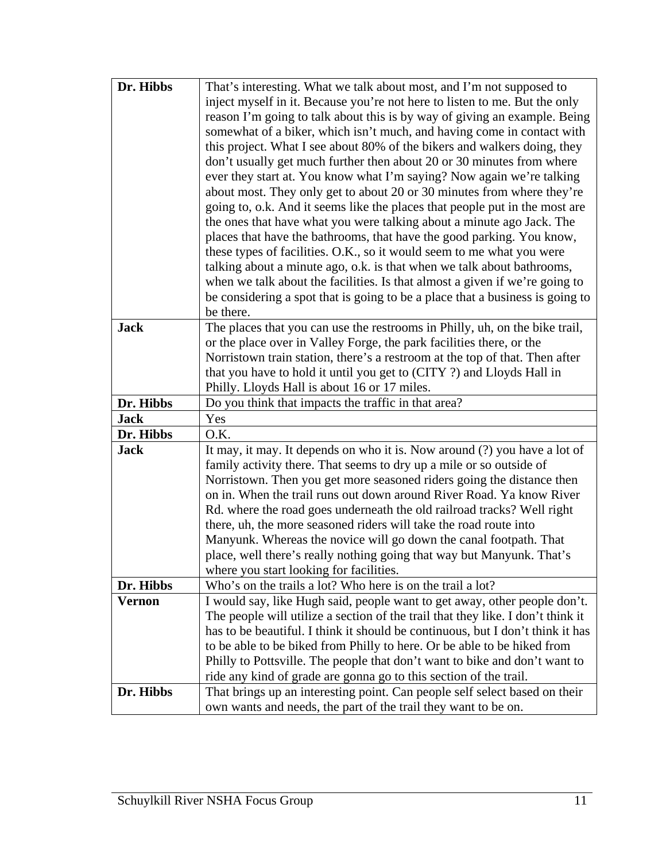| Dr. Hibbs   | That's interesting. What we talk about most, and I'm not supposed to                                                                         |
|-------------|----------------------------------------------------------------------------------------------------------------------------------------------|
|             | inject myself in it. Because you're not here to listen to me. But the only                                                                   |
|             | reason I'm going to talk about this is by way of giving an example. Being                                                                    |
|             | somewhat of a biker, which isn't much, and having come in contact with                                                                       |
|             | this project. What I see about 80% of the bikers and walkers doing, they                                                                     |
|             | don't usually get much further then about 20 or 30 minutes from where                                                                        |
|             | ever they start at. You know what I'm saying? Now again we're talking                                                                        |
|             | about most. They only get to about 20 or 30 minutes from where they're                                                                       |
|             | going to, o.k. And it seems like the places that people put in the most are                                                                  |
|             | the ones that have what you were talking about a minute ago Jack. The                                                                        |
|             | places that have the bathrooms, that have the good parking. You know,                                                                        |
|             | these types of facilities. O.K., so it would seem to me what you were                                                                        |
|             | talking about a minute ago, o.k. is that when we talk about bathrooms,                                                                       |
|             | when we talk about the facilities. Is that almost a given if we're going to                                                                  |
|             | be considering a spot that is going to be a place that a business is going to                                                                |
|             | be there.                                                                                                                                    |
| <b>Jack</b> | The places that you can use the restrooms in Philly, uh, on the bike trail,                                                                  |
|             | or the place over in Valley Forge, the park facilities there, or the                                                                         |
|             | Norristown train station, there's a restroom at the top of that. Then after                                                                  |
|             | that you have to hold it until you get to (CITY ?) and Lloyds Hall in                                                                        |
|             | Philly. Lloyds Hall is about 16 or 17 miles.                                                                                                 |
| Dr. Hibbs   | Do you think that impacts the traffic in that area?                                                                                          |
| <b>Jack</b> | Yes                                                                                                                                          |
| Dr. Hibbs   | O.K.                                                                                                                                         |
|             | It may, it may. It depends on who it is. Now around (?) you have a lot of                                                                    |
| <b>Jack</b> |                                                                                                                                              |
|             | family activity there. That seems to dry up a mile or so outside of                                                                          |
|             | Norristown. Then you get more seasoned riders going the distance then                                                                        |
|             | on in. When the trail runs out down around River Road. Ya know River                                                                         |
|             | Rd. where the road goes underneath the old railroad tracks? Well right                                                                       |
|             | there, uh, the more seasoned riders will take the road route into                                                                            |
|             | Manyunk. Whereas the novice will go down the canal footpath. That                                                                            |
|             | place, well there's really nothing going that way but Manyunk. That's                                                                        |
|             | where you start looking for facilities.                                                                                                      |
| Dr. Hibbs   | Who's on the trails a lot? Who here is on the trail a lot?                                                                                   |
| Vernon      | I would say, like Hugh said, people want to get away, other people don't.                                                                    |
|             | The people will utilize a section of the trail that they like. I don't think it                                                              |
|             | has to be beautiful. I think it should be continuous, but I don't think it has                                                               |
|             | to be able to be biked from Philly to here. Or be able to be hiked from                                                                      |
|             | Philly to Pottsville. The people that don't want to bike and don't want to                                                                   |
|             | ride any kind of grade are gonna go to this section of the trail.                                                                            |
| Dr. Hibbs   | That brings up an interesting point. Can people self select based on their<br>own wants and needs, the part of the trail they want to be on. |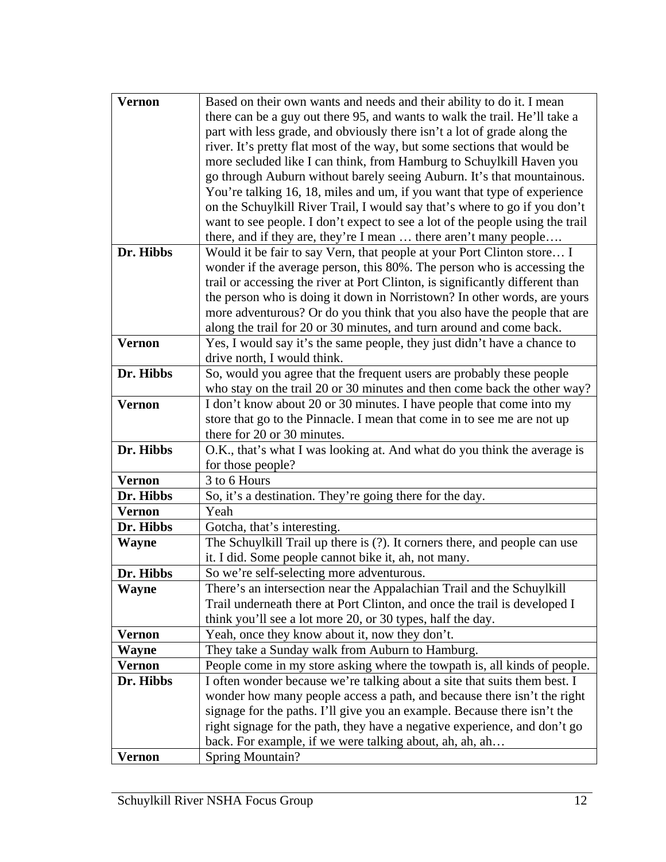| <b>Vernon</b> | Based on their own wants and needs and their ability to do it. I mean         |
|---------------|-------------------------------------------------------------------------------|
|               | there can be a guy out there 95, and wants to walk the trail. He'll take a    |
|               | part with less grade, and obviously there isn't a lot of grade along the      |
|               | river. It's pretty flat most of the way, but some sections that would be      |
|               | more secluded like I can think, from Hamburg to Schuylkill Haven you          |
|               | go through Auburn without barely seeing Auburn. It's that mountainous.        |
|               | You're talking 16, 18, miles and um, if you want that type of experience      |
|               | on the Schuylkill River Trail, I would say that's where to go if you don't    |
|               | want to see people. I don't expect to see a lot of the people using the trail |
|               | there, and if they are, they're I mean  there aren't many people              |
| Dr. Hibbs     | Would it be fair to say Vern, that people at your Port Clinton store I        |
|               | wonder if the average person, this 80%. The person who is accessing the       |
|               | trail or accessing the river at Port Clinton, is significantly different than |
|               | the person who is doing it down in Norristown? In other words, are yours      |
|               | more adventurous? Or do you think that you also have the people that are      |
|               | along the trail for 20 or 30 minutes, and turn around and come back.          |
| <b>Vernon</b> | Yes, I would say it's the same people, they just didn't have a chance to      |
|               | drive north, I would think.                                                   |
| Dr. Hibbs     | So, would you agree that the frequent users are probably these people         |
|               | who stay on the trail 20 or 30 minutes and then come back the other way?      |
| <b>Vernon</b> | I don't know about 20 or 30 minutes. I have people that come into my          |
|               | store that go to the Pinnacle. I mean that come in to see me are not up       |
|               | there for 20 or 30 minutes.                                                   |
| Dr. Hibbs     | O.K., that's what I was looking at. And what do you think the average is      |
|               | for those people?                                                             |
| <b>Vernon</b> | 3 to 6 Hours                                                                  |
| Dr. Hibbs     | So, it's a destination. They're going there for the day.                      |
| <b>Vernon</b> | Yeah                                                                          |
| Dr. Hibbs     | Gotcha, that's interesting.                                                   |
| <b>Wayne</b>  | The Schuylkill Trail up there is (?). It corners there, and people can use    |
|               | it. I did. Some people cannot bike it, ah, not many.                          |
| Dr. Hibbs     | So we're self-selecting more adventurous.                                     |
| <b>Wayne</b>  | There's an intersection near the Appalachian Trail and the Schuylkill         |
|               | Trail underneath there at Port Clinton, and once the trail is developed I     |
|               | think you'll see a lot more 20, or 30 types, half the day.                    |
| <b>Vernon</b> | Yeah, once they know about it, now they don't.                                |
| Wayne         | They take a Sunday walk from Auburn to Hamburg.                               |
| Vernon        | People come in my store asking where the towpath is, all kinds of people.     |
| Dr. Hibbs     | I often wonder because we're talking about a site that suits them best. I     |
|               | wonder how many people access a path, and because there isn't the right       |
|               | signage for the paths. I'll give you an example. Because there isn't the      |
|               | right signage for the path, they have a negative experience, and don't go     |
|               | back. For example, if we were talking about, ah, ah, ah                       |
| Vernon        | <b>Spring Mountain?</b>                                                       |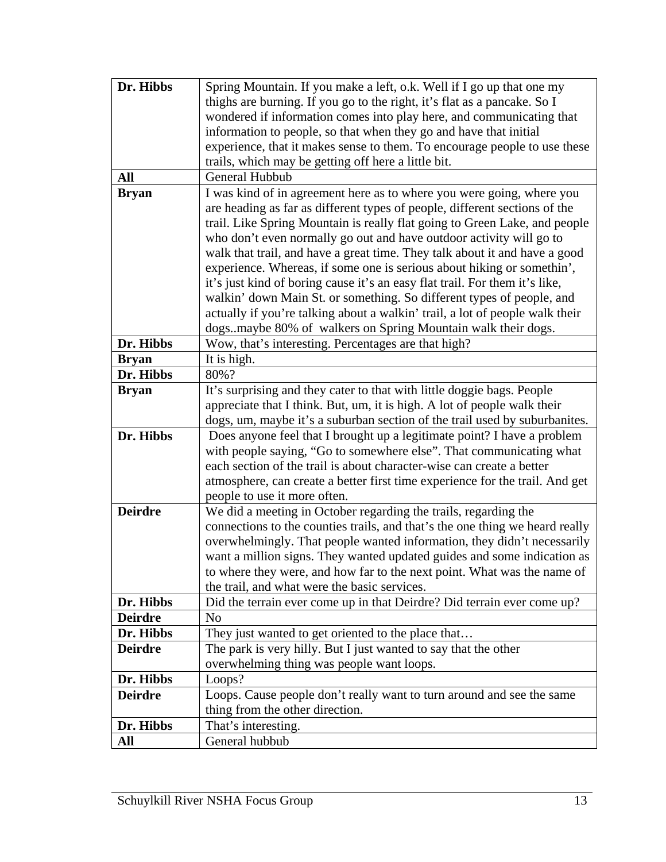| Dr. Hibbs      | Spring Mountain. If you make a left, o.k. Well if I go up that one my                                                                               |
|----------------|-----------------------------------------------------------------------------------------------------------------------------------------------------|
|                | thighs are burning. If you go to the right, it's flat as a pancake. So I                                                                            |
|                | wondered if information comes into play here, and communicating that                                                                                |
|                | information to people, so that when they go and have that initial                                                                                   |
|                | experience, that it makes sense to them. To encourage people to use these                                                                           |
|                | trails, which may be getting off here a little bit.                                                                                                 |
| All            | General Hubbub                                                                                                                                      |
| <b>Bryan</b>   | I was kind of in agreement here as to where you were going, where you<br>are heading as far as different types of people, different sections of the |
|                | trail. Like Spring Mountain is really flat going to Green Lake, and people                                                                          |
|                | who don't even normally go out and have outdoor activity will go to                                                                                 |
|                | walk that trail, and have a great time. They talk about it and have a good                                                                          |
|                | experience. Whereas, if some one is serious about hiking or somethin',                                                                              |
|                | it's just kind of boring cause it's an easy flat trail. For them it's like,                                                                         |
|                | walkin' down Main St. or something. So different types of people, and                                                                               |
|                | actually if you're talking about a walkin' trail, a lot of people walk their                                                                        |
|                | dogsmaybe 80% of walkers on Spring Mountain walk their dogs.                                                                                        |
| Dr. Hibbs      | Wow, that's interesting. Percentages are that high?                                                                                                 |
| <b>Bryan</b>   | It is high.                                                                                                                                         |
| Dr. Hibbs      | 80%?                                                                                                                                                |
| <b>Bryan</b>   | It's surprising and they cater to that with little doggie bags. People                                                                              |
|                | appreciate that I think. But, um, it is high. A lot of people walk their                                                                            |
|                | dogs, um, maybe it's a suburban section of the trail used by suburbanites.                                                                          |
| Dr. Hibbs      | Does anyone feel that I brought up a legitimate point? I have a problem                                                                             |
|                | with people saying, "Go to somewhere else". That communicating what                                                                                 |
|                | each section of the trail is about character-wise can create a better                                                                               |
|                | atmosphere, can create a better first time experience for the trail. And get                                                                        |
|                | people to use it more often.                                                                                                                        |
| <b>Deirdre</b> | We did a meeting in October regarding the trails, regarding the                                                                                     |
|                | connections to the counties trails, and that's the one thing we heard really                                                                        |
|                | overwhelmingly. That people wanted information, they didn't necessarily                                                                             |
|                | want a million signs. They wanted updated guides and some indication as                                                                             |
|                | to where they were, and how far to the next point. What was the name of                                                                             |
|                | the trail, and what were the basic services.                                                                                                        |
| Dr. Hibbs      | Did the terrain ever come up in that Deirdre? Did terrain ever come up?                                                                             |
| <b>Deirdre</b> | No                                                                                                                                                  |
| Dr. Hibbs      | They just wanted to get oriented to the place that                                                                                                  |
| <b>Deirdre</b> | The park is very hilly. But I just wanted to say that the other                                                                                     |
|                | overwhelming thing was people want loops.                                                                                                           |
| Dr. Hibbs      | Loops?                                                                                                                                              |
| <b>Deirdre</b> | Loops. Cause people don't really want to turn around and see the same                                                                               |
|                | thing from the other direction.                                                                                                                     |
| Dr. Hibbs      | That's interesting.                                                                                                                                 |
| All            | General hubbub                                                                                                                                      |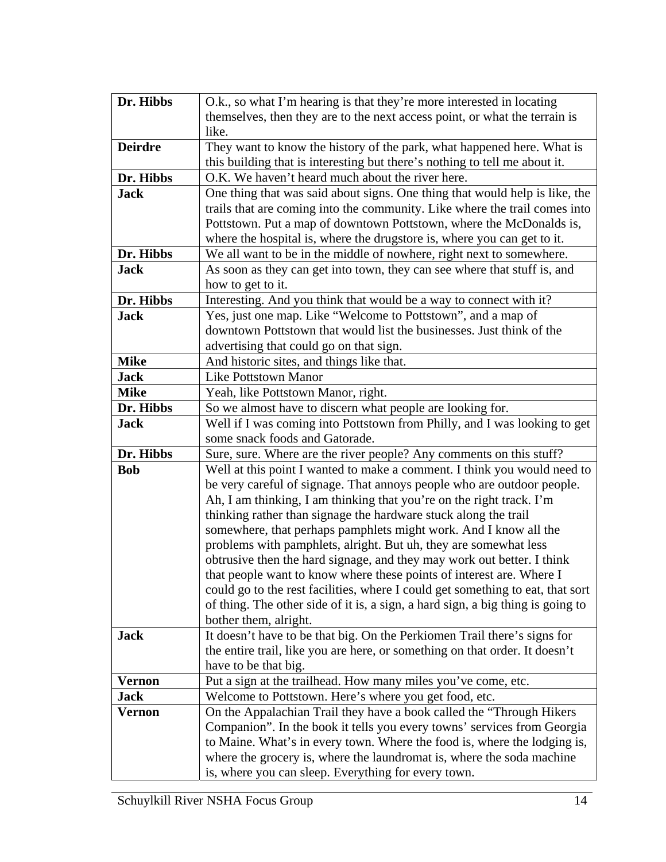| Dr. Hibbs      | O.k., so what I'm hearing is that they're more interested in locating                                                                                             |
|----------------|-------------------------------------------------------------------------------------------------------------------------------------------------------------------|
|                | themselves, then they are to the next access point, or what the terrain is                                                                                        |
|                | like.                                                                                                                                                             |
| <b>Deirdre</b> | They want to know the history of the park, what happened here. What is                                                                                            |
|                | this building that is interesting but there's nothing to tell me about it.                                                                                        |
| Dr. Hibbs      | O.K. We haven't heard much about the river here.                                                                                                                  |
| <b>Jack</b>    | One thing that was said about signs. One thing that would help is like, the                                                                                       |
|                | trails that are coming into the community. Like where the trail comes into                                                                                        |
|                | Pottstown. Put a map of downtown Pottstown, where the McDonalds is,                                                                                               |
|                | where the hospital is, where the drugstore is, where you can get to it.                                                                                           |
| Dr. Hibbs      | We all want to be in the middle of nowhere, right next to somewhere.                                                                                              |
| <b>Jack</b>    | As soon as they can get into town, they can see where that stuff is, and                                                                                          |
|                | how to get to it.                                                                                                                                                 |
| Dr. Hibbs      | Interesting. And you think that would be a way to connect with it?                                                                                                |
| <b>Jack</b>    | Yes, just one map. Like "Welcome to Pottstown", and a map of                                                                                                      |
|                | downtown Pottstown that would list the businesses. Just think of the                                                                                              |
|                | advertising that could go on that sign.                                                                                                                           |
| <b>Mike</b>    | And historic sites, and things like that.                                                                                                                         |
| <b>Jack</b>    | <b>Like Pottstown Manor</b>                                                                                                                                       |
| <b>Mike</b>    | Yeah, like Pottstown Manor, right.                                                                                                                                |
| Dr. Hibbs      | So we almost have to discern what people are looking for.                                                                                                         |
| <b>Jack</b>    | Well if I was coming into Pottstown from Philly, and I was looking to get                                                                                         |
|                | some snack foods and Gatorade.                                                                                                                                    |
| Dr. Hibbs      | Sure, sure. Where are the river people? Any comments on this stuff?                                                                                               |
| <b>Bob</b>     | Well at this point I wanted to make a comment. I think you would need to                                                                                          |
|                | be very careful of signage. That annoys people who are outdoor people.                                                                                            |
|                | Ah, I am thinking, I am thinking that you're on the right track. I'm                                                                                              |
|                | thinking rather than signage the hardware stuck along the trail                                                                                                   |
|                | somewhere, that perhaps pamphlets might work. And I know all the                                                                                                  |
|                | problems with pamphlets, alright. But uh, they are somewhat less                                                                                                  |
|                | obtrusive then the hard signage, and they may work out better. I think                                                                                            |
|                | that people want to know where these points of interest are. Where I                                                                                              |
|                | could go to the rest facilities, where I could get something to eat, that sort<br>of thing. The other side of it is, a sign, a hard sign, a big thing is going to |
|                | bother them, alright.                                                                                                                                             |
| <b>Jack</b>    | It doesn't have to be that big. On the Perkiomen Trail there's signs for                                                                                          |
|                | the entire trail, like you are here, or something on that order. It doesn't                                                                                       |
|                | have to be that big.                                                                                                                                              |
| <b>Vernon</b>  | Put a sign at the trailhead. How many miles you've come, etc.                                                                                                     |
| <b>Jack</b>    | Welcome to Pottstown. Here's where you get food, etc.                                                                                                             |
| <b>Vernon</b>  | On the Appalachian Trail they have a book called the "Through Hikers"                                                                                             |
|                | Companion". In the book it tells you every towns' services from Georgia                                                                                           |
|                | to Maine. What's in every town. Where the food is, where the lodging is,                                                                                          |
|                | where the grocery is, where the laundromat is, where the soda machine                                                                                             |
|                | is, where you can sleep. Everything for every town.                                                                                                               |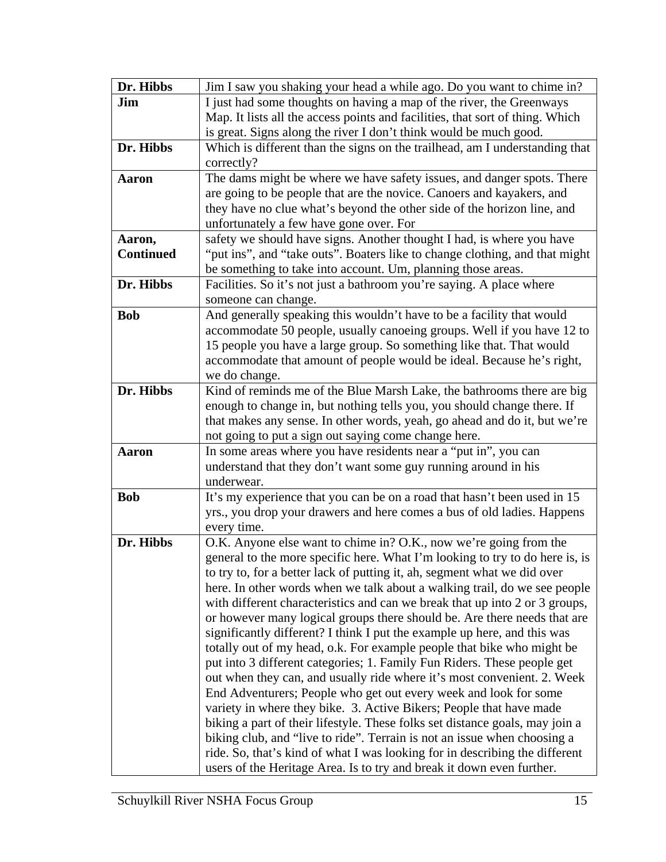| Dr. Hibbs        | Jim I saw you shaking your head a while ago. Do you want to chime in?                  |
|------------------|----------------------------------------------------------------------------------------|
| Jim              | I just had some thoughts on having a map of the river, the Greenways                   |
|                  | Map. It lists all the access points and facilities, that sort of thing. Which          |
|                  | is great. Signs along the river I don't think would be much good.                      |
| Dr. Hibbs        | Which is different than the signs on the trailhead, am I understanding that            |
|                  | correctly?                                                                             |
| <b>Aaron</b>     | The dams might be where we have safety issues, and danger spots. There                 |
|                  | are going to be people that are the novice. Canoers and kayakers, and                  |
|                  | they have no clue what's beyond the other side of the horizon line, and                |
|                  | unfortunately a few have gone over. For                                                |
| Aaron,           | safety we should have signs. Another thought I had, is where you have                  |
| <b>Continued</b> | "put ins", and "take outs". Boaters like to change clothing, and that might            |
|                  | be something to take into account. Um, planning those areas.                           |
| Dr. Hibbs        | Facilities. So it's not just a bathroom you're saying. A place where                   |
|                  | someone can change.                                                                    |
| <b>Bob</b>       | And generally speaking this wouldn't have to be a facility that would                  |
|                  | accommodate 50 people, usually canoeing groups. Well if you have 12 to                 |
|                  | 15 people you have a large group. So something like that. That would                   |
|                  | accommodate that amount of people would be ideal. Because he's right,                  |
|                  | we do change.                                                                          |
| Dr. Hibbs        | Kind of reminds me of the Blue Marsh Lake, the bathrooms there are big                 |
|                  | enough to change in, but nothing tells you, you should change there. If                |
|                  | that makes any sense. In other words, yeah, go ahead and do it, but we're              |
|                  | not going to put a sign out saying come change here.                                   |
| <b>Aaron</b>     | In some areas where you have residents near a "put in", you can                        |
|                  | understand that they don't want some guy running around in his                         |
| <b>Bob</b>       | underwear.                                                                             |
|                  | It's my experience that you can be on a road that hasn't been used in 15               |
|                  | yrs., you drop your drawers and here comes a bus of old ladies. Happens<br>every time. |
| Dr. Hibbs        | O.K. Anyone else want to chime in? O.K., now we're going from the                      |
|                  | general to the more specific here. What I'm looking to try to do here is, is           |
|                  | to try to, for a better lack of putting it, ah, segment what we did over               |
|                  | here. In other words when we talk about a walking trail, do we see people              |
|                  | with different characteristics and can we break that up into 2 or 3 groups,            |
|                  | or however many logical groups there should be. Are there needs that are               |
|                  | significantly different? I think I put the example up here, and this was               |
|                  | totally out of my head, o.k. For example people that bike who might be                 |
|                  | put into 3 different categories; 1. Family Fun Riders. These people get                |
|                  | out when they can, and usually ride where it's most convenient. 2. Week                |
|                  | End Adventurers; People who get out every week and look for some                       |
|                  | variety in where they bike. 3. Active Bikers; People that have made                    |
|                  | biking a part of their lifestyle. These folks set distance goals, may join a           |
|                  | biking club, and "live to ride". Terrain is not an issue when choosing a               |
|                  | ride. So, that's kind of what I was looking for in describing the different            |
|                  | users of the Heritage Area. Is to try and break it down even further.                  |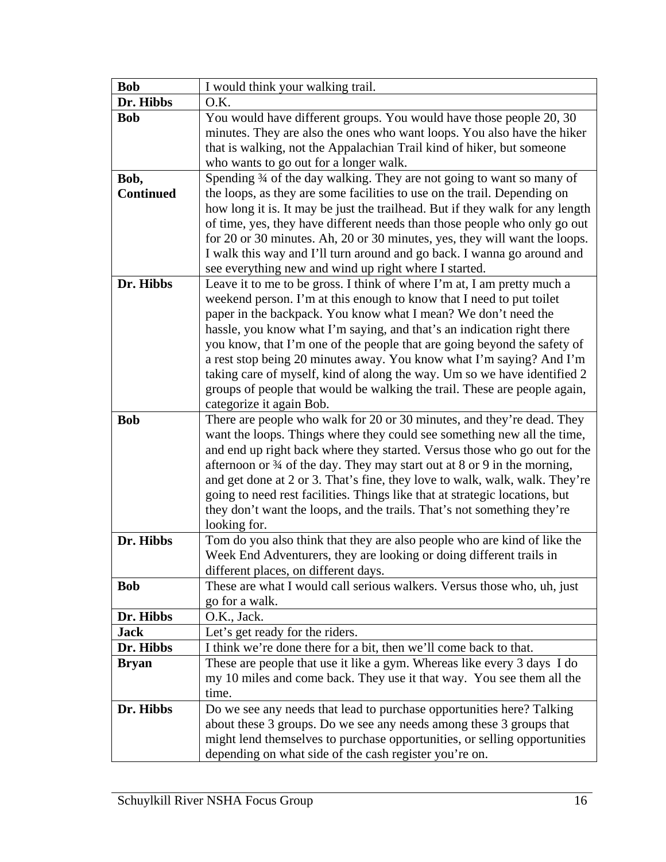| <b>Bob</b>               | I would think your walking trail.                                                                                                                                                                                                                                                                                                                                                                                                                                                                                                                                                                                                    |
|--------------------------|--------------------------------------------------------------------------------------------------------------------------------------------------------------------------------------------------------------------------------------------------------------------------------------------------------------------------------------------------------------------------------------------------------------------------------------------------------------------------------------------------------------------------------------------------------------------------------------------------------------------------------------|
| Dr. Hibbs                | O.K.                                                                                                                                                                                                                                                                                                                                                                                                                                                                                                                                                                                                                                 |
| <b>Bob</b>               | You would have different groups. You would have those people 20, 30<br>minutes. They are also the ones who want loops. You also have the hiker<br>that is walking, not the Appalachian Trail kind of hiker, but someone<br>who wants to go out for a longer walk.                                                                                                                                                                                                                                                                                                                                                                    |
| Bob,<br><b>Continued</b> | Spending 34 of the day walking. They are not going to want so many of<br>the loops, as they are some facilities to use on the trail. Depending on<br>how long it is. It may be just the trailhead. But if they walk for any length<br>of time, yes, they have different needs than those people who only go out<br>for 20 or 30 minutes. Ah, 20 or 30 minutes, yes, they will want the loops.<br>I walk this way and I'll turn around and go back. I wanna go around and<br>see everything new and wind up right where I started.                                                                                                    |
| Dr. Hibbs                | Leave it to me to be gross. I think of where I'm at, I am pretty much a<br>weekend person. I'm at this enough to know that I need to put toilet<br>paper in the backpack. You know what I mean? We don't need the<br>hassle, you know what I'm saying, and that's an indication right there<br>you know, that I'm one of the people that are going beyond the safety of<br>a rest stop being 20 minutes away. You know what I'm saying? And I'm<br>taking care of myself, kind of along the way. Um so we have identified 2<br>groups of people that would be walking the trail. These are people again,<br>categorize it again Bob. |
| <b>Bob</b>               | There are people who walk for 20 or 30 minutes, and they're dead. They<br>want the loops. Things where they could see something new all the time,<br>and end up right back where they started. Versus those who go out for the<br>afternoon or $\frac{3}{4}$ of the day. They may start out at 8 or 9 in the morning,<br>and get done at 2 or 3. That's fine, they love to walk, walk, walk. They're<br>going to need rest facilities. Things like that at strategic locations, but<br>they don't want the loops, and the trails. That's not something they're<br>looking for.                                                       |
| Dr. Hibbs                | Tom do you also think that they are also people who are kind of like the<br>Week End Adventurers, they are looking or doing different trails in<br>different places, on different days.                                                                                                                                                                                                                                                                                                                                                                                                                                              |
| <b>Bob</b>               | These are what I would call serious walkers. Versus those who, uh, just<br>go for a walk.                                                                                                                                                                                                                                                                                                                                                                                                                                                                                                                                            |
| Dr. Hibbs                | O.K., Jack.                                                                                                                                                                                                                                                                                                                                                                                                                                                                                                                                                                                                                          |
| <b>Jack</b>              | Let's get ready for the riders.                                                                                                                                                                                                                                                                                                                                                                                                                                                                                                                                                                                                      |
| Dr. Hibbs                | I think we're done there for a bit, then we'll come back to that.                                                                                                                                                                                                                                                                                                                                                                                                                                                                                                                                                                    |
| <b>Bryan</b>             | These are people that use it like a gym. Whereas like every 3 days I do<br>my 10 miles and come back. They use it that way. You see them all the<br>time.                                                                                                                                                                                                                                                                                                                                                                                                                                                                            |
| Dr. Hibbs                | Do we see any needs that lead to purchase opportunities here? Talking<br>about these 3 groups. Do we see any needs among these 3 groups that<br>might lend themselves to purchase opportunities, or selling opportunities<br>depending on what side of the cash register you're on.                                                                                                                                                                                                                                                                                                                                                  |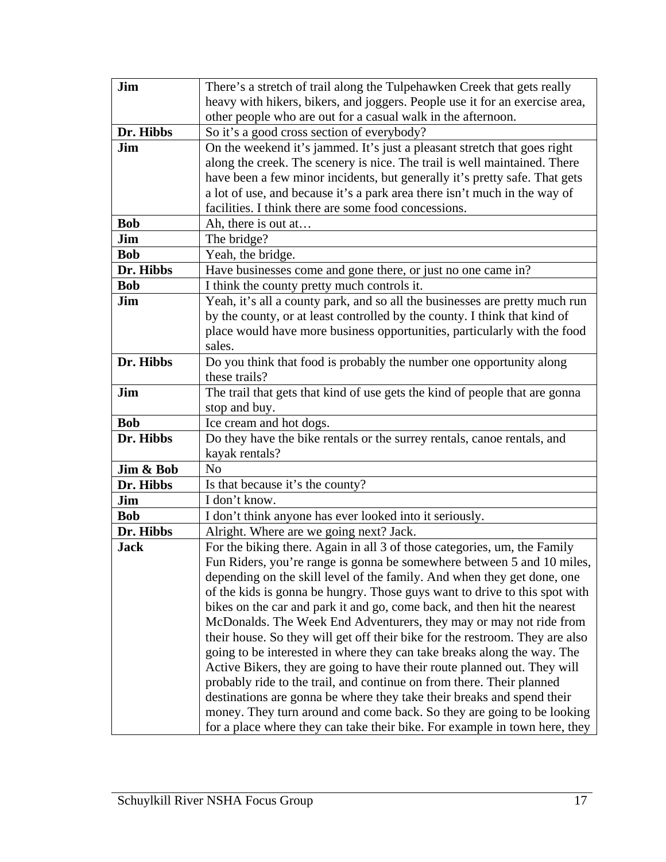| Jim         | There's a stretch of trail along the Tulpehawken Creek that gets really                                                                          |
|-------------|--------------------------------------------------------------------------------------------------------------------------------------------------|
|             | heavy with hikers, bikers, and joggers. People use it for an exercise area,                                                                      |
|             | other people who are out for a casual walk in the afternoon.                                                                                     |
| Dr. Hibbs   | So it's a good cross section of everybody?                                                                                                       |
| Jim         | On the weekend it's jammed. It's just a pleasant stretch that goes right                                                                         |
|             | along the creek. The scenery is nice. The trail is well maintained. There                                                                        |
|             | have been a few minor incidents, but generally it's pretty safe. That gets                                                                       |
|             | a lot of use, and because it's a park area there isn't much in the way of                                                                        |
|             | facilities. I think there are some food concessions.                                                                                             |
| <b>Bob</b>  | Ah, there is out at                                                                                                                              |
| Jim         | The bridge?                                                                                                                                      |
| <b>Bob</b>  | Yeah, the bridge.                                                                                                                                |
| Dr. Hibbs   | Have businesses come and gone there, or just no one came in?                                                                                     |
| <b>Bob</b>  | I think the county pretty much controls it.                                                                                                      |
| Jim         | Yeah, it's all a county park, and so all the businesses are pretty much run                                                                      |
|             | by the county, or at least controlled by the county. I think that kind of                                                                        |
|             | place would have more business opportunities, particularly with the food                                                                         |
|             | sales.                                                                                                                                           |
| Dr. Hibbs   | Do you think that food is probably the number one opportunity along                                                                              |
|             | these trails?                                                                                                                                    |
| Jim         | The trail that gets that kind of use gets the kind of people that are gonna                                                                      |
|             | stop and buy.                                                                                                                                    |
| <b>Bob</b>  | Ice cream and hot dogs.                                                                                                                          |
| Dr. Hibbs   | Do they have the bike rentals or the surrey rentals, canoe rentals, and                                                                          |
|             | kayak rentals?                                                                                                                                   |
| Jim & Bob   | N <sub>0</sub>                                                                                                                                   |
| Dr. Hibbs   | Is that because it's the county?                                                                                                                 |
| Jim         | I don't know.                                                                                                                                    |
| <b>Bob</b>  | I don't think anyone has ever looked into it seriously.                                                                                          |
| Dr. Hibbs   | Alright. Where are we going next? Jack.                                                                                                          |
| <b>Jack</b> | For the biking there. Again in all 3 of those categories, um, the Family                                                                         |
|             | Fun Riders, you're range is gonna be somewhere between 5 and 10 miles,                                                                           |
|             | depending on the skill level of the family. And when they get done, one                                                                          |
|             | of the kids is gonna be hungry. Those guys want to drive to this spot with                                                                       |
|             | bikes on the car and park it and go, come back, and then hit the nearest                                                                         |
|             | McDonalds. The Week End Adventurers, they may or may not ride from                                                                               |
|             | their house. So they will get off their bike for the restroom. They are also                                                                     |
|             | going to be interested in where they can take breaks along the way. The                                                                          |
|             | Active Bikers, they are going to have their route planned out. They will                                                                         |
|             | probably ride to the trail, and continue on from there. Their planned                                                                            |
|             | destinations are gonna be where they take their breaks and spend their<br>money. They turn around and come back. So they are going to be looking |
|             |                                                                                                                                                  |
|             | for a place where they can take their bike. For example in town here, they                                                                       |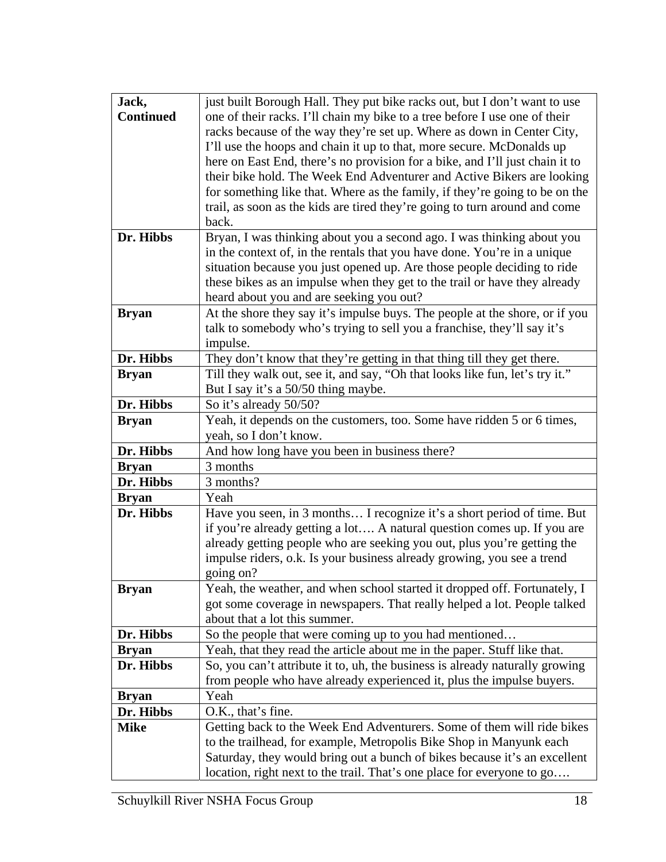| Jack,            | just built Borough Hall. They put bike racks out, but I don't want to use                                                                               |
|------------------|---------------------------------------------------------------------------------------------------------------------------------------------------------|
| <b>Continued</b> | one of their racks. I'll chain my bike to a tree before I use one of their                                                                              |
|                  | racks because of the way they're set up. Where as down in Center City,                                                                                  |
|                  | I'll use the hoops and chain it up to that, more secure. McDonalds up                                                                                   |
|                  | here on East End, there's no provision for a bike, and I'll just chain it to                                                                            |
|                  | their bike hold. The Week End Adventurer and Active Bikers are looking                                                                                  |
|                  | for something like that. Where as the family, if they're going to be on the                                                                             |
|                  | trail, as soon as the kids are tired they're going to turn around and come                                                                              |
|                  | back.                                                                                                                                                   |
| Dr. Hibbs        | Bryan, I was thinking about you a second ago. I was thinking about you                                                                                  |
|                  | in the context of, in the rentals that you have done. You're in a unique                                                                                |
|                  | situation because you just opened up. Are those people deciding to ride                                                                                 |
|                  | these bikes as an impulse when they get to the trail or have they already                                                                               |
|                  | heard about you and are seeking you out?                                                                                                                |
| <b>Bryan</b>     | At the shore they say it's impulse buys. The people at the shore, or if you                                                                             |
|                  | talk to somebody who's trying to sell you a franchise, they'll say it's                                                                                 |
| Dr. Hibbs        | impulse.                                                                                                                                                |
|                  | They don't know that they're getting in that thing till they get there.<br>Till they walk out, see it, and say, "Oh that looks like fun, let's try it." |
| <b>Bryan</b>     | But I say it's a 50/50 thing maybe.                                                                                                                     |
| Dr. Hibbs        | So it's already 50/50?                                                                                                                                  |
| <b>Bryan</b>     | Yeah, it depends on the customers, too. Some have ridden 5 or 6 times,                                                                                  |
|                  | yeah, so I don't know.                                                                                                                                  |
| Dr. Hibbs        | And how long have you been in business there?                                                                                                           |
| <b>Bryan</b>     | 3 months                                                                                                                                                |
| Dr. Hibbs        | 3 months?                                                                                                                                               |
| <b>Bryan</b>     | Yeah                                                                                                                                                    |
| Dr. Hibbs        | Have you seen, in 3 months I recognize it's a short period of time. But                                                                                 |
|                  | if you're already getting a lot A natural question comes up. If you are                                                                                 |
|                  | already getting people who are seeking you out, plus you're getting the                                                                                 |
|                  | impulse riders, o.k. Is your business already growing, you see a trend                                                                                  |
|                  | going on?                                                                                                                                               |
| <b>Bryan</b>     | Yeah, the weather, and when school started it dropped off. Fortunately, I                                                                               |
|                  | got some coverage in newspapers. That really helped a lot. People talked                                                                                |
|                  | about that a lot this summer.                                                                                                                           |
| Dr. Hibbs        | So the people that were coming up to you had mentioned                                                                                                  |
| <b>Bryan</b>     | Yeah, that they read the article about me in the paper. Stuff like that.                                                                                |
| Dr. Hibbs        | So, you can't attribute it to, uh, the business is already naturally growing                                                                            |
|                  | from people who have already experienced it, plus the impulse buyers.                                                                                   |
| <b>Bryan</b>     | Yeah                                                                                                                                                    |
| Dr. Hibbs        | O.K., that's fine.                                                                                                                                      |
| <b>Mike</b>      | Getting back to the Week End Adventurers. Some of them will ride bikes                                                                                  |
|                  | to the trailhead, for example, Metropolis Bike Shop in Manyunk each                                                                                     |
|                  | Saturday, they would bring out a bunch of bikes because it's an excellent                                                                               |
|                  | location, right next to the trail. That's one place for everyone to go                                                                                  |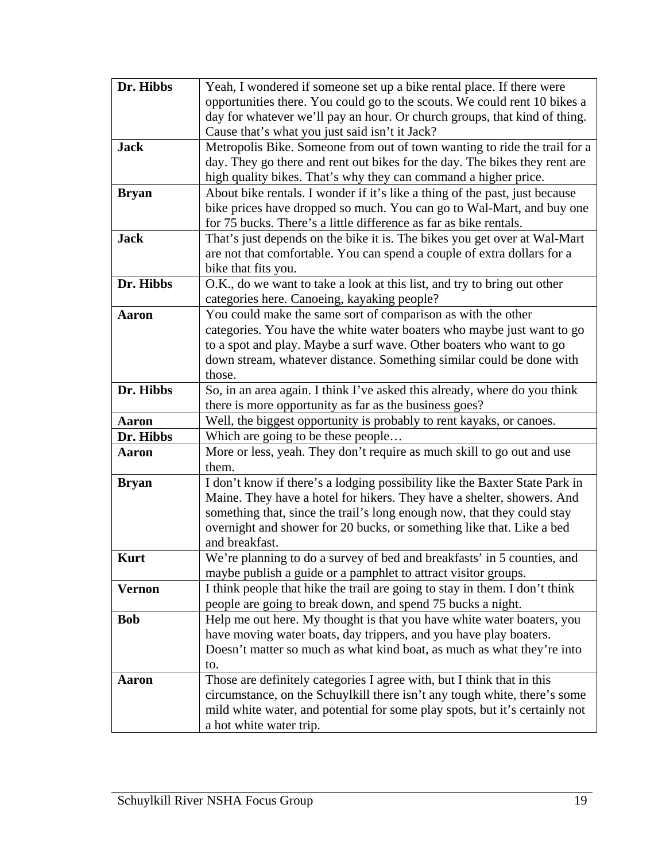| Dr. Hibbs     | Yeah, I wondered if someone set up a bike rental place. If there were       |
|---------------|-----------------------------------------------------------------------------|
|               | opportunities there. You could go to the scouts. We could rent 10 bikes a   |
|               | day for whatever we'll pay an hour. Or church groups, that kind of thing.   |
|               | Cause that's what you just said isn't it Jack?                              |
| <b>Jack</b>   | Metropolis Bike. Someone from out of town wanting to ride the trail for a   |
|               | day. They go there and rent out bikes for the day. The bikes they rent are  |
|               | high quality bikes. That's why they can command a higher price.             |
| <b>Bryan</b>  | About bike rentals. I wonder if it's like a thing of the past, just because |
|               | bike prices have dropped so much. You can go to Wal-Mart, and buy one       |
|               | for 75 bucks. There's a little difference as far as bike rentals.           |
| <b>Jack</b>   | That's just depends on the bike it is. The bikes you get over at Wal-Mart   |
|               | are not that comfortable. You can spend a couple of extra dollars for a     |
|               | bike that fits you.                                                         |
| Dr. Hibbs     | O.K., do we want to take a look at this list, and try to bring out other    |
|               | categories here. Canoeing, kayaking people?                                 |
| <b>Aaron</b>  | You could make the same sort of comparison as with the other                |
|               | categories. You have the white water boaters who maybe just want to go      |
|               | to a spot and play. Maybe a surf wave. Other boaters who want to go         |
|               | down stream, whatever distance. Something similar could be done with        |
|               | those.                                                                      |
| Dr. Hibbs     | So, in an area again. I think I've asked this already, where do you think   |
|               | there is more opportunity as far as the business goes?                      |
| Aaron         | Well, the biggest opportunity is probably to rent kayaks, or canoes.        |
| Dr. Hibbs     | Which are going to be these people                                          |
| <b>Aaron</b>  | More or less, yeah. They don't require as much skill to go out and use      |
|               | them.                                                                       |
| <b>Bryan</b>  | I don't know if there's a lodging possibility like the Baxter State Park in |
|               | Maine. They have a hotel for hikers. They have a shelter, showers. And      |
|               | something that, since the trail's long enough now, that they could stay     |
|               | overnight and shower for 20 bucks, or something like that. Like a bed       |
|               | and breakfast.                                                              |
| <b>Kurt</b>   | We're planning to do a survey of bed and breakfasts' in 5 counties, and     |
|               | maybe publish a guide or a pamphlet to attract visitor groups.              |
| <b>Vernon</b> | I think people that hike the trail are going to stay in them. I don't think |
|               | people are going to break down, and spend 75 bucks a night.                 |
| <b>Bob</b>    | Help me out here. My thought is that you have white water boaters, you      |
|               | have moving water boats, day trippers, and you have play boaters.           |
|               | Doesn't matter so much as what kind boat, as much as what they're into      |
|               | to.                                                                         |
| Aaron         | Those are definitely categories I agree with, but I think that in this      |
|               | circumstance, on the Schuylkill there isn't any tough white, there's some   |
|               | mild white water, and potential for some play spots, but it's certainly not |
|               | a hot white water trip.                                                     |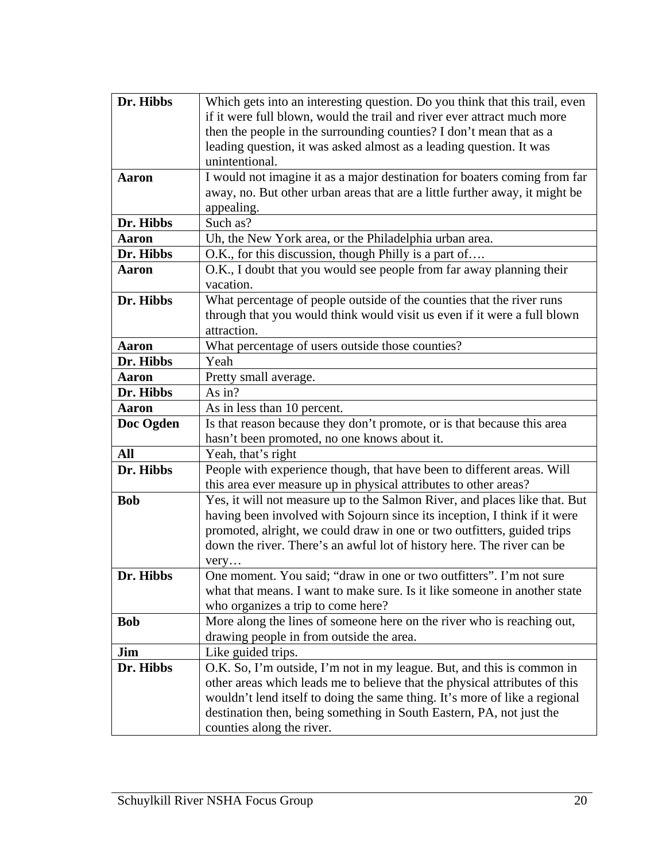| Which gets into an interesting question. Do you think that this trail, even                                                                       |
|---------------------------------------------------------------------------------------------------------------------------------------------------|
| if it were full blown, would the trail and river ever attract much more                                                                           |
| then the people in the surrounding counties? I don't mean that as a                                                                               |
| leading question, it was asked almost as a leading question. It was                                                                               |
| unintentional.                                                                                                                                    |
| I would not imagine it as a major destination for boaters coming from far                                                                         |
| away, no. But other urban areas that are a little further away, it might be                                                                       |
| appealing.                                                                                                                                        |
| Such as?                                                                                                                                          |
| Uh, the New York area, or the Philadelphia urban area.                                                                                            |
| O.K., for this discussion, though Philly is a part of                                                                                             |
| O.K., I doubt that you would see people from far away planning their                                                                              |
| vacation.                                                                                                                                         |
| What percentage of people outside of the counties that the river runs                                                                             |
| through that you would think would visit us even if it were a full blown<br>attraction.                                                           |
|                                                                                                                                                   |
| What percentage of users outside those counties?<br>Yeah                                                                                          |
|                                                                                                                                                   |
| Pretty small average.                                                                                                                             |
| As in?                                                                                                                                            |
| As in less than 10 percent.                                                                                                                       |
| Is that reason because they don't promote, or is that because this area                                                                           |
| hasn't been promoted, no one knows about it.                                                                                                      |
| Yeah, that's right                                                                                                                                |
| People with experience though, that have been to different areas. Will                                                                            |
| this area ever measure up in physical attributes to other areas?                                                                                  |
| Yes, it will not measure up to the Salmon River, and places like that. But                                                                        |
| having been involved with Sojourn since its inception, I think if it were                                                                         |
| promoted, alright, we could draw in one or two outfitters, guided trips<br>down the river. There's an awful lot of history here. The river can be |
|                                                                                                                                                   |
| very<br>One moment. You said: "draw in one or two outfitters". I'm not sure                                                                       |
| what that means. I want to make sure. Is it like someone in another state                                                                         |
| who organizes a trip to come here?                                                                                                                |
| More along the lines of someone here on the river who is reaching out,                                                                            |
| drawing people in from outside the area.                                                                                                          |
| Like guided trips.                                                                                                                                |
| O.K. So, I'm outside, I'm not in my league. But, and this is common in                                                                            |
| other areas which leads me to believe that the physical attributes of this                                                                        |
| wouldn't lend itself to doing the same thing. It's more of like a regional                                                                        |
| destination then, being something in South Eastern, PA, not just the                                                                              |
| counties along the river.                                                                                                                         |
|                                                                                                                                                   |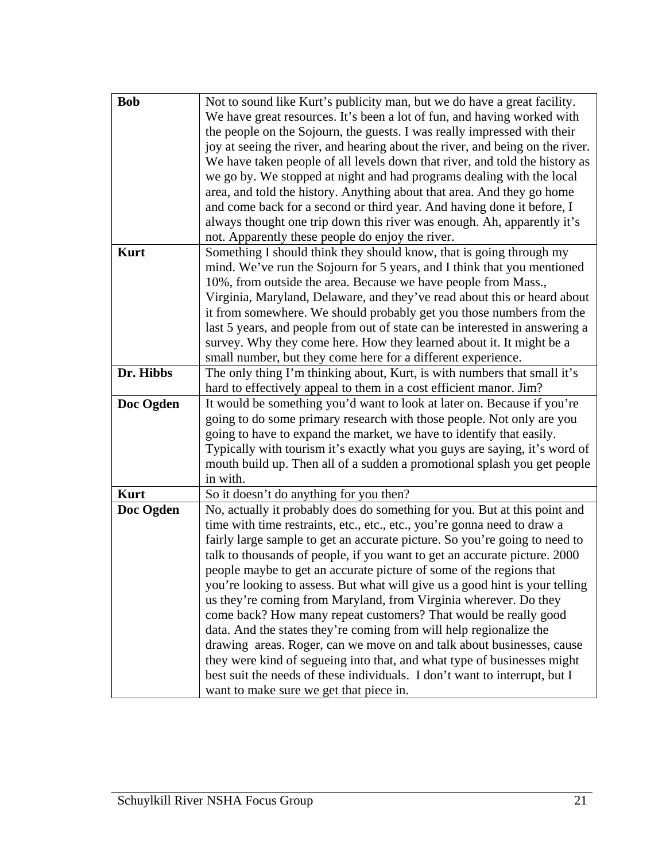| <b>Bob</b>  | Not to sound like Kurt's publicity man, but we do have a great facility.                                              |
|-------------|-----------------------------------------------------------------------------------------------------------------------|
|             | We have great resources. It's been a lot of fun, and having worked with                                               |
|             | the people on the Sojourn, the guests. I was really impressed with their                                              |
|             | joy at seeing the river, and hearing about the river, and being on the river.                                         |
|             | We have taken people of all levels down that river, and told the history as                                           |
|             | we go by. We stopped at night and had programs dealing with the local                                                 |
|             | area, and told the history. Anything about that area. And they go home                                                |
|             | and come back for a second or third year. And having done it before, I                                                |
|             | always thought one trip down this river was enough. Ah, apparently it's                                               |
|             | not. Apparently these people do enjoy the river.                                                                      |
| <b>Kurt</b> | Something I should think they should know, that is going through my                                                   |
|             | mind. We've run the Sojourn for 5 years, and I think that you mentioned                                               |
|             | 10%, from outside the area. Because we have people from Mass.,                                                        |
|             | Virginia, Maryland, Delaware, and they've read about this or heard about                                              |
|             | it from somewhere. We should probably get you those numbers from the                                                  |
|             | last 5 years, and people from out of state can be interested in answering a                                           |
|             | survey. Why they come here. How they learned about it. It might be a                                                  |
|             | small number, but they come here for a different experience.                                                          |
| Dr. Hibbs   | The only thing I'm thinking about, Kurt, is with numbers that small it's                                              |
|             | hard to effectively appeal to them in a cost efficient manor. Jim?                                                    |
|             |                                                                                                                       |
| Doc Ogden   | It would be something you'd want to look at later on. Because if you're                                               |
|             | going to do some primary research with those people. Not only are you                                                 |
|             | going to have to expand the market, we have to identify that easily.                                                  |
|             | Typically with tourism it's exactly what you guys are saying, it's word of                                            |
|             | mouth build up. Then all of a sudden a promotional splash you get people                                              |
|             | in with.                                                                                                              |
| <b>Kurt</b> | So it doesn't do anything for you then?                                                                               |
| Doc Ogden   | No, actually it probably does do something for you. But at this point and                                             |
|             | time with time restraints, etc., etc., etc., you're gonna need to draw a                                              |
|             | fairly large sample to get an accurate picture. So you're going to need to                                            |
|             | talk to thousands of people, if you want to get an accurate picture. 2000                                             |
|             | people maybe to get an accurate picture of some of the regions that                                                   |
|             | you're looking to assess. But what will give us a good hint is your telling                                           |
|             | us they're coming from Maryland, from Virginia wherever. Do they                                                      |
|             | come back? How many repeat customers? That would be really good                                                       |
|             | data. And the states they're coming from will help regionalize the                                                    |
|             | drawing areas. Roger, can we move on and talk about businesses, cause                                                 |
|             | they were kind of segueing into that, and what type of businesses might                                               |
|             | best suit the needs of these individuals. I don't want to interrupt, but I<br>want to make sure we get that piece in. |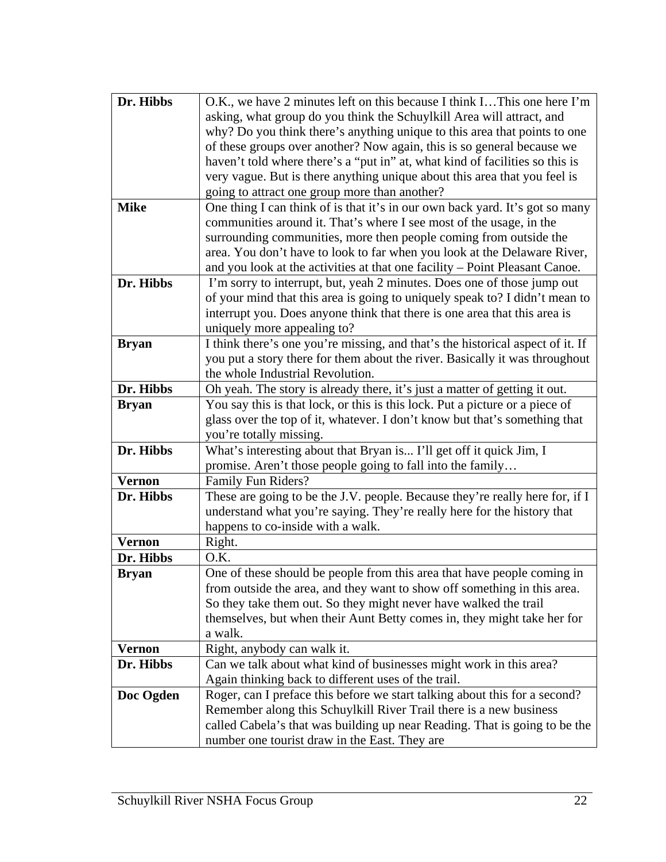| Dr. Hibbs     | O.K., we have 2 minutes left on this because I think IThis one here I'm                                                                     |
|---------------|---------------------------------------------------------------------------------------------------------------------------------------------|
|               | asking, what group do you think the Schuylkill Area will attract, and                                                                       |
|               | why? Do you think there's anything unique to this area that points to one                                                                   |
|               | of these groups over another? Now again, this is so general because we                                                                      |
|               | haven't told where there's a "put in" at, what kind of facilities so this is                                                                |
|               | very vague. But is there anything unique about this area that you feel is                                                                   |
|               | going to attract one group more than another?                                                                                               |
| <b>Mike</b>   | One thing I can think of is that it's in our own back yard. It's got so many                                                                |
|               | communities around it. That's where I see most of the usage, in the                                                                         |
|               | surrounding communities, more then people coming from outside the                                                                           |
|               | area. You don't have to look to far when you look at the Delaware River,                                                                    |
|               | and you look at the activities at that one facility – Point Pleasant Canoe.                                                                 |
| Dr. Hibbs     | I'm sorry to interrupt, but, yeah 2 minutes. Does one of those jump out                                                                     |
|               | of your mind that this area is going to uniquely speak to? I didn't mean to                                                                 |
|               | interrupt you. Does anyone think that there is one area that this area is                                                                   |
|               | uniquely more appealing to?                                                                                                                 |
| <b>Bryan</b>  | I think there's one you're missing, and that's the historical aspect of it. If                                                              |
|               | you put a story there for them about the river. Basically it was throughout                                                                 |
|               | the whole Industrial Revolution.                                                                                                            |
| Dr. Hibbs     | Oh yeah. The story is already there, it's just a matter of getting it out.                                                                  |
| <b>Bryan</b>  | You say this is that lock, or this is this lock. Put a picture or a piece of                                                                |
|               | glass over the top of it, whatever. I don't know but that's something that                                                                  |
|               | you're totally missing.                                                                                                                     |
| Dr. Hibbs     | What's interesting about that Bryan is I'll get off it quick Jim, I                                                                         |
|               | promise. Aren't those people going to fall into the family                                                                                  |
| <b>Vernon</b> | Family Fun Riders?                                                                                                                          |
| Dr. Hibbs     | These are going to be the J.V. people. Because they're really here for, if I                                                                |
|               | understand what you're saying. They're really here for the history that                                                                     |
|               | happens to co-inside with a walk.                                                                                                           |
| <b>Vernon</b> | Right.                                                                                                                                      |
| Dr. Hibbs     | O.K.                                                                                                                                        |
| <b>Bryan</b>  | One of these should be people from this area that have people coming in                                                                     |
|               | from outside the area, and they want to show off something in this area.                                                                    |
|               | So they take them out. So they might never have walked the trail<br>themselves, but when their Aunt Betty comes in, they might take her for |
|               | a walk.                                                                                                                                     |
| <b>Vernon</b> | Right, anybody can walk it.                                                                                                                 |
| Dr. Hibbs     | Can we talk about what kind of businesses might work in this area?                                                                          |
|               | Again thinking back to different uses of the trail.                                                                                         |
| Doc Ogden     | Roger, can I preface this before we start talking about this for a second?                                                                  |
|               | Remember along this Schuylkill River Trail there is a new business                                                                          |
|               | called Cabela's that was building up near Reading. That is going to be the                                                                  |
|               |                                                                                                                                             |
|               | number one tourist draw in the East. They are                                                                                               |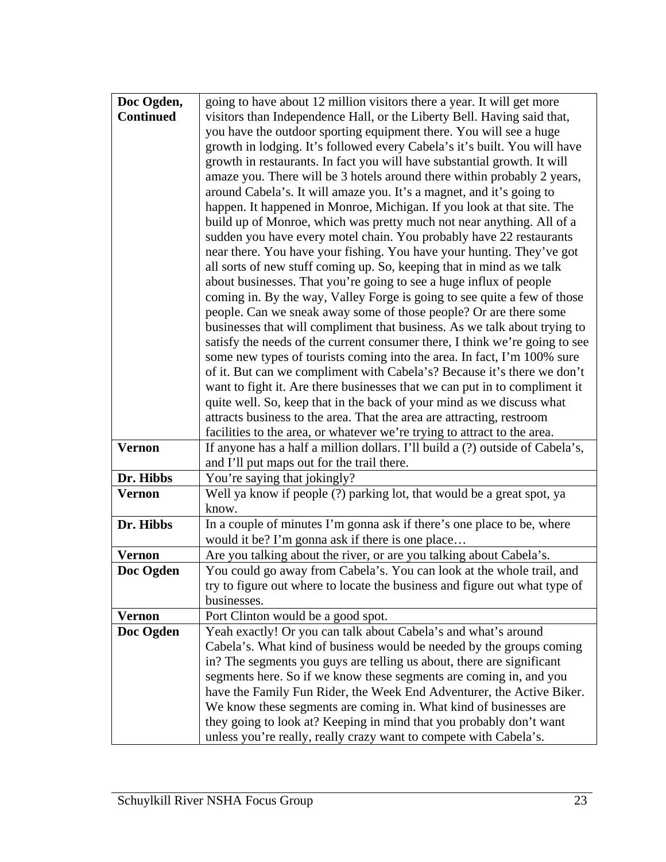| Doc Ogden,       | going to have about 12 million visitors there a year. It will get more                                                                                 |
|------------------|--------------------------------------------------------------------------------------------------------------------------------------------------------|
| <b>Continued</b> | visitors than Independence Hall, or the Liberty Bell. Having said that,                                                                                |
|                  | you have the outdoor sporting equipment there. You will see a huge                                                                                     |
|                  | growth in lodging. It's followed every Cabela's it's built. You will have                                                                              |
|                  | growth in restaurants. In fact you will have substantial growth. It will                                                                               |
|                  | amaze you. There will be 3 hotels around there within probably 2 years,                                                                                |
|                  | around Cabela's. It will amaze you. It's a magnet, and it's going to                                                                                   |
|                  | happen. It happened in Monroe, Michigan. If you look at that site. The                                                                                 |
|                  | build up of Monroe, which was pretty much not near anything. All of a                                                                                  |
|                  | sudden you have every motel chain. You probably have 22 restaurants                                                                                    |
|                  | near there. You have your fishing. You have your hunting. They've got                                                                                  |
|                  | all sorts of new stuff coming up. So, keeping that in mind as we talk                                                                                  |
|                  | about businesses. That you're going to see a huge influx of people                                                                                     |
|                  | coming in. By the way, Valley Forge is going to see quite a few of those                                                                               |
|                  | people. Can we sneak away some of those people? Or are there some                                                                                      |
|                  | businesses that will compliment that business. As we talk about trying to                                                                              |
|                  | satisfy the needs of the current consumer there, I think we're going to see<br>some new types of tourists coming into the area. In fact, I'm 100% sure |
|                  | of it. But can we compliment with Cabela's? Because it's there we don't                                                                                |
|                  | want to fight it. Are there businesses that we can put in to compliment it                                                                             |
|                  | quite well. So, keep that in the back of your mind as we discuss what                                                                                  |
|                  | attracts business to the area. That the area are attracting, restroom                                                                                  |
|                  | facilities to the area, or whatever we're trying to attract to the area.                                                                               |
| <b>Vernon</b>    | If anyone has a half a million dollars. I'll build a (?) outside of Cabela's,                                                                          |
|                  | and I'll put maps out for the trail there.                                                                                                             |
| Dr. Hibbs        | You're saying that jokingly?                                                                                                                           |
| <b>Vernon</b>    | Well ya know if people (?) parking lot, that would be a great spot, ya                                                                                 |
|                  | know.                                                                                                                                                  |
| Dr. Hibbs        | In a couple of minutes I'm gonna ask if there's one place to be, where                                                                                 |
|                  | would it be? I'm gonna ask if there is one place                                                                                                       |
| <b>Vernon</b>    | Are you talking about the river, or are you talking about Cabela's.                                                                                    |
| Doc Ogden        | You could go away from Cabela's. You can look at the whole trail, and                                                                                  |
|                  | try to figure out where to locate the business and figure out what type of                                                                             |
|                  | businesses.                                                                                                                                            |
| <b>Vernon</b>    | Port Clinton would be a good spot.                                                                                                                     |
| Doc Ogden        | Yeah exactly! Or you can talk about Cabela's and what's around                                                                                         |
|                  | Cabela's. What kind of business would be needed by the groups coming                                                                                   |
|                  | in? The segments you guys are telling us about, there are significant<br>segments here. So if we know these segments are coming in, and you            |
|                  | have the Family Fun Rider, the Week End Adventurer, the Active Biker.                                                                                  |
|                  | We know these segments are coming in. What kind of businesses are                                                                                      |
|                  | they going to look at? Keeping in mind that you probably don't want                                                                                    |
|                  | unless you're really, really crazy want to compete with Cabela's.                                                                                      |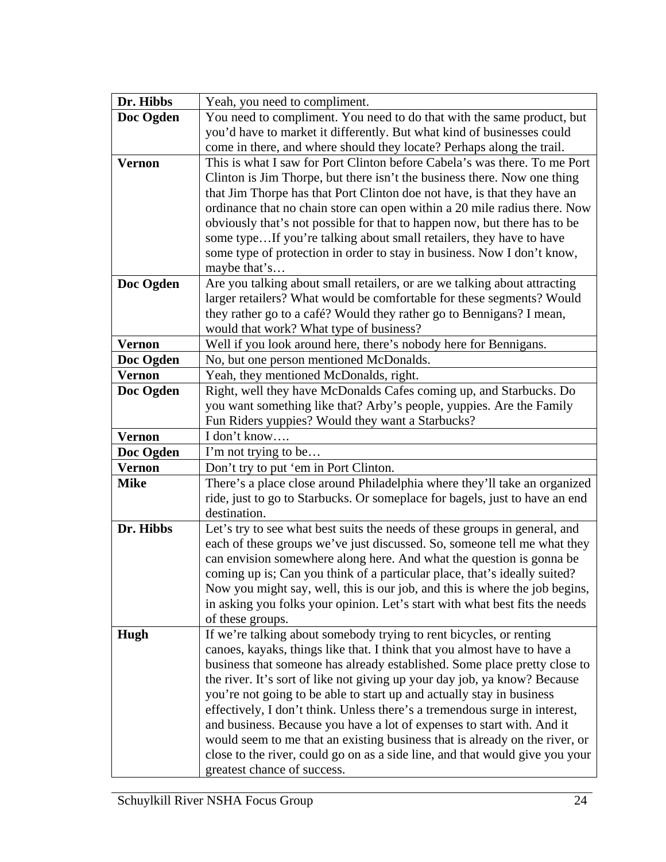| Dr. Hibbs     | Yeah, you need to compliment.                                                                                                                     |
|---------------|---------------------------------------------------------------------------------------------------------------------------------------------------|
| Doc Ogden     | You need to compliment. You need to do that with the same product, but                                                                            |
|               | you'd have to market it differently. But what kind of businesses could                                                                            |
|               | come in there, and where should they locate? Perhaps along the trail.                                                                             |
| <b>Vernon</b> | This is what I saw for Port Clinton before Cabela's was there. To me Port                                                                         |
|               | Clinton is Jim Thorpe, but there isn't the business there. Now one thing                                                                          |
|               | that Jim Thorpe has that Port Clinton doe not have, is that they have an                                                                          |
|               | ordinance that no chain store can open within a 20 mile radius there. Now                                                                         |
|               | obviously that's not possible for that to happen now, but there has to be                                                                         |
|               | some typeIf you're talking about small retailers, they have to have                                                                               |
|               | some type of protection in order to stay in business. Now I don't know,<br>maybe that's                                                           |
| Doc Ogden     | Are you talking about small retailers, or are we talking about attracting                                                                         |
|               | larger retailers? What would be comfortable for these segments? Would                                                                             |
|               | they rather go to a café? Would they rather go to Bennigans? I mean,                                                                              |
|               | would that work? What type of business?                                                                                                           |
| <b>Vernon</b> | Well if you look around here, there's nobody here for Bennigans.                                                                                  |
| Doc Ogden     | No, but one person mentioned McDonalds.                                                                                                           |
| <b>Vernon</b> | Yeah, they mentioned McDonalds, right.                                                                                                            |
| Doc Ogden     | Right, well they have McDonalds Cafes coming up, and Starbucks. Do                                                                                |
|               | you want something like that? Arby's people, yuppies. Are the Family                                                                              |
|               | Fun Riders yuppies? Would they want a Starbucks?                                                                                                  |
| <b>Vernon</b> | I don't know                                                                                                                                      |
| Doc Ogden     | I'm not trying to be                                                                                                                              |
| <b>Vernon</b> | Don't try to put 'em in Port Clinton.                                                                                                             |
| <b>Mike</b>   | There's a place close around Philadelphia where they'll take an organized                                                                         |
|               | ride, just to go to Starbucks. Or someplace for bagels, just to have an end                                                                       |
|               | destination.                                                                                                                                      |
| Dr. Hibbs     | Let's try to see what best suits the needs of these groups in general, and                                                                        |
|               | each of these groups we've just discussed. So, someone tell me what they                                                                          |
|               | can envision somewhere along here. And what the question is gonna be<br>coming up is; Can you think of a particular place, that's ideally suited? |
|               | Now you might say, well, this is our job, and this is where the job begins,                                                                       |
|               | in asking you folks your opinion. Let's start with what best fits the needs                                                                       |
|               | of these groups.                                                                                                                                  |
| Hugh          | If we're talking about somebody trying to rent bicycles, or renting                                                                               |
|               | canoes, kayaks, things like that. I think that you almost have to have a                                                                          |
|               | business that someone has already established. Some place pretty close to                                                                         |
|               | the river. It's sort of like not giving up your day job, ya know? Because                                                                         |
|               | you're not going to be able to start up and actually stay in business                                                                             |
|               | effectively, I don't think. Unless there's a tremendous surge in interest,                                                                        |
|               | and business. Because you have a lot of expenses to start with. And it                                                                            |
|               | would seem to me that an existing business that is already on the river, or                                                                       |
|               | close to the river, could go on as a side line, and that would give you your                                                                      |
|               | greatest chance of success.                                                                                                                       |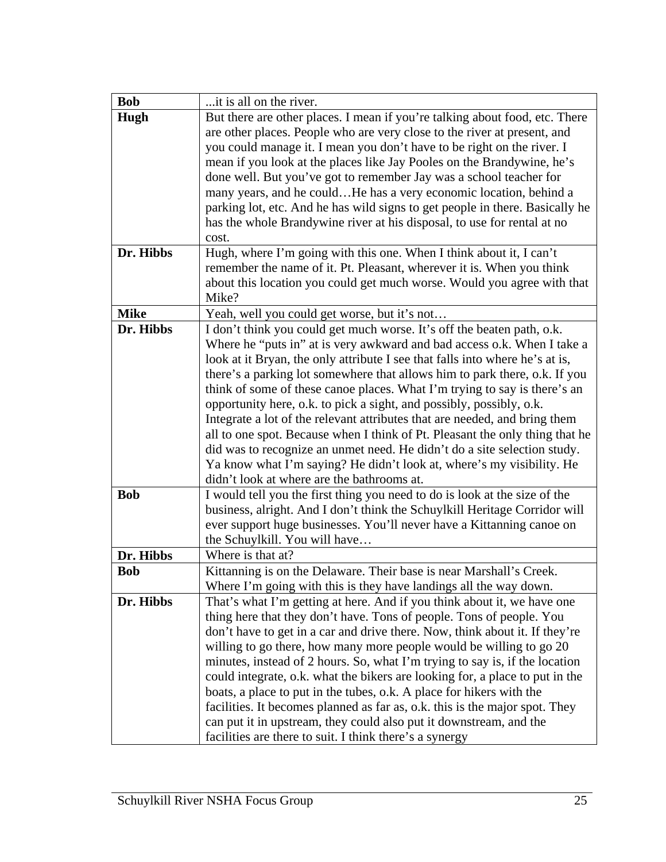| it is all on the river.                                                                                                                         |
|-------------------------------------------------------------------------------------------------------------------------------------------------|
| But there are other places. I mean if you're talking about food, etc. There                                                                     |
| are other places. People who are very close to the river at present, and                                                                        |
| you could manage it. I mean you don't have to be right on the river. I                                                                          |
| mean if you look at the places like Jay Pooles on the Brandywine, he's                                                                          |
| done well. But you've got to remember Jay was a school teacher for                                                                              |
| many years, and he couldHe has a very economic location, behind a                                                                               |
| parking lot, etc. And he has wild signs to get people in there. Basically he                                                                    |
| has the whole Brandywine river at his disposal, to use for rental at no                                                                         |
|                                                                                                                                                 |
| Hugh, where I'm going with this one. When I think about it, I can't                                                                             |
| remember the name of it. Pt. Pleasant, wherever it is. When you think                                                                           |
| about this location you could get much worse. Would you agree with that                                                                         |
| Mike?                                                                                                                                           |
| Yeah, well you could get worse, but it's not                                                                                                    |
| I don't think you could get much worse. It's off the beaten path, o.k.                                                                          |
| Where he "puts in" at is very awkward and bad access o.k. When I take a                                                                         |
| look at it Bryan, the only attribute I see that falls into where he's at is,                                                                    |
| there's a parking lot somewhere that allows him to park there, o.k. If you                                                                      |
| think of some of these canoe places. What I'm trying to say is there's an                                                                       |
| opportunity here, o.k. to pick a sight, and possibly, possibly, o.k.                                                                            |
| Integrate a lot of the relevant attributes that are needed, and bring them                                                                      |
| all to one spot. Because when I think of Pt. Pleasant the only thing that he                                                                    |
| did was to recognize an unmet need. He didn't do a site selection study.                                                                        |
| Ya know what I'm saying? He didn't look at, where's my visibility. He                                                                           |
| didn't look at where are the bathrooms at.                                                                                                      |
| I would tell you the first thing you need to do is look at the size of the                                                                      |
| business, alright. And I don't think the Schuylkill Heritage Corridor will                                                                      |
| ever support huge businesses. You'll never have a Kittanning canoe on                                                                           |
| the Schuylkill. You will have<br>Where is that at?                                                                                              |
|                                                                                                                                                 |
| Kittanning is on the Delaware. Their base is near Marshall's Creek.                                                                             |
| Where I'm going with this is they have landings all the way down.                                                                               |
| That's what I'm getting at here. And if you think about it, we have one<br>thing here that they don't have. Tons of people. Tons of people. You |
| don't have to get in a car and drive there. Now, think about it. If they're                                                                     |
| willing to go there, how many more people would be willing to go 20                                                                             |
| minutes, instead of 2 hours. So, what I'm trying to say is, if the location                                                                     |
| could integrate, o.k. what the bikers are looking for, a place to put in the                                                                    |
| boats, a place to put in the tubes, o.k. A place for hikers with the                                                                            |
| facilities. It becomes planned as far as, o.k. this is the major spot. They                                                                     |
| can put it in upstream, they could also put it downstream, and the                                                                              |
| facilities are there to suit. I think there's a synergy                                                                                         |
| cost.                                                                                                                                           |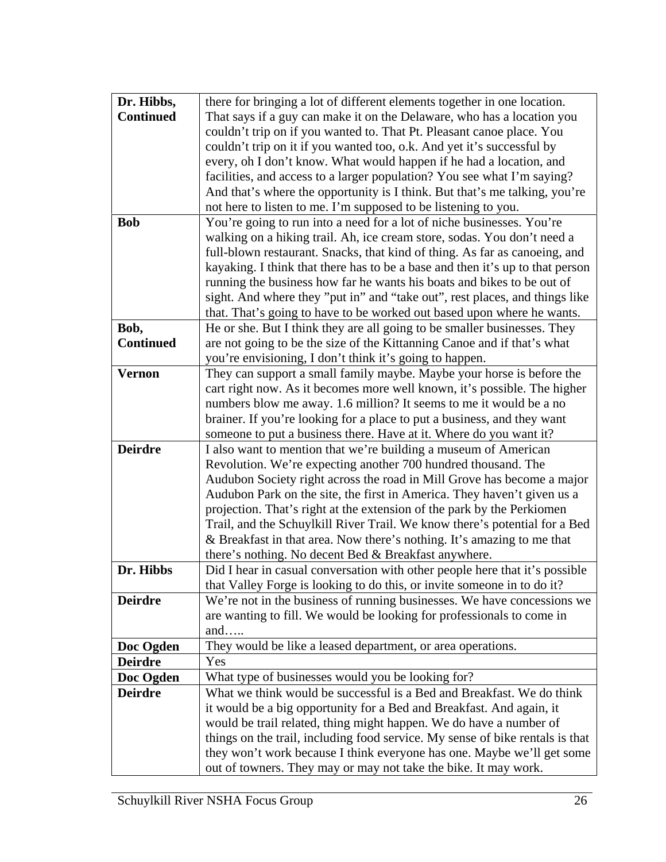| Dr. Hibbs,       | there for bringing a lot of different elements together in one location.      |
|------------------|-------------------------------------------------------------------------------|
| <b>Continued</b> | That says if a guy can make it on the Delaware, who has a location you        |
|                  | couldn't trip on if you wanted to. That Pt. Pleasant canoe place. You         |
|                  | couldn't trip on it if you wanted too, o.k. And yet it's successful by        |
|                  | every, oh I don't know. What would happen if he had a location, and           |
|                  | facilities, and access to a larger population? You see what I'm saying?       |
|                  | And that's where the opportunity is I think. But that's me talking, you're    |
|                  | not here to listen to me. I'm supposed to be listening to you.                |
| <b>Bob</b>       | You're going to run into a need for a lot of niche businesses. You're         |
|                  | walking on a hiking trail. Ah, ice cream store, sodas. You don't need a       |
|                  | full-blown restaurant. Snacks, that kind of thing. As far as canoeing, and    |
|                  | kayaking. I think that there has to be a base and then it's up to that person |
|                  | running the business how far he wants his boats and bikes to be out of        |
|                  | sight. And where they "put in" and "take out", rest places, and things like   |
|                  | that. That's going to have to be worked out based upon where he wants.        |
| Bob,             | He or she. But I think they are all going to be smaller businesses. They      |
| <b>Continued</b> | are not going to be the size of the Kittanning Canoe and if that's what       |
|                  | you're envisioning, I don't think it's going to happen.                       |
| <b>Vernon</b>    | They can support a small family maybe. Maybe your horse is before the         |
|                  | cart right now. As it becomes more well known, it's possible. The higher      |
|                  | numbers blow me away. 1.6 million? It seems to me it would be a no            |
|                  | brainer. If you're looking for a place to put a business, and they want       |
|                  | someone to put a business there. Have at it. Where do you want it?            |
| <b>Deirdre</b>   | I also want to mention that we're building a museum of American               |
|                  | Revolution. We're expecting another 700 hundred thousand. The                 |
|                  | Audubon Society right across the road in Mill Grove has become a major        |
|                  | Audubon Park on the site, the first in America. They haven't given us a       |
|                  | projection. That's right at the extension of the park by the Perkiomen        |
|                  | Trail, and the Schuylkill River Trail. We know there's potential for a Bed    |
|                  | & Breakfast in that area. Now there's nothing. It's amazing to me that        |
|                  | there's nothing. No decent Bed & Breakfast anywhere.                          |
| Dr. Hibbs        | Did I hear in casual conversation with other people here that it's possible   |
|                  | that Valley Forge is looking to do this, or invite someone in to do it?       |
| <b>Deirdre</b>   | We're not in the business of running businesses. We have concessions we       |
|                  | are wanting to fill. We would be looking for professionals to come in         |
|                  | and                                                                           |
| Doc Ogden        | They would be like a leased department, or area operations.                   |
| <b>Deirdre</b>   | Yes                                                                           |
| Doc Ogden        | What type of businesses would you be looking for?                             |
| <b>Deirdre</b>   | What we think would be successful is a Bed and Breakfast. We do think         |
|                  | it would be a big opportunity for a Bed and Breakfast. And again, it          |
|                  | would be trail related, thing might happen. We do have a number of            |
|                  | things on the trail, including food service. My sense of bike rentals is that |
|                  | they won't work because I think everyone has one. Maybe we'll get some        |
|                  | out of towners. They may or may not take the bike. It may work.               |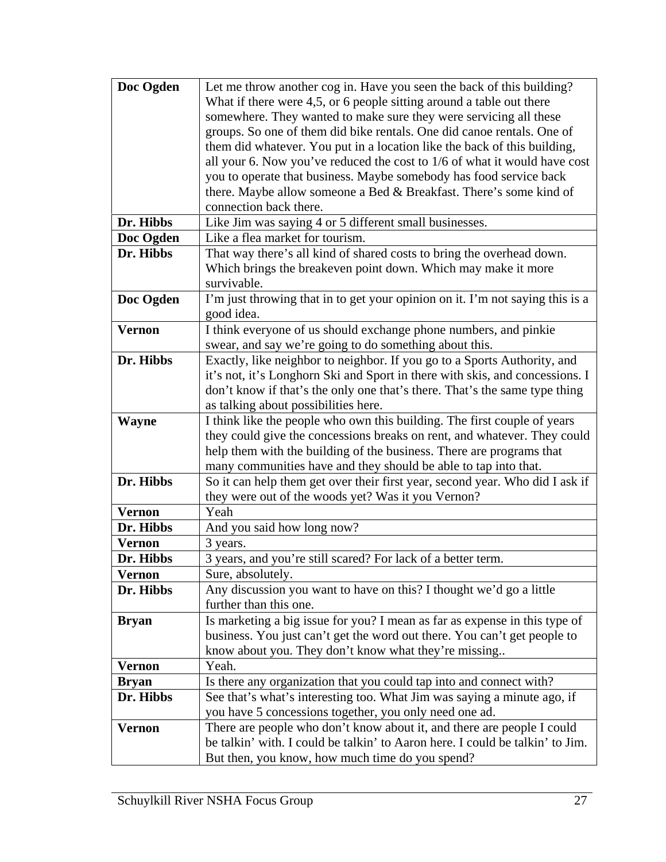| Doc Ogden     | Let me throw another cog in. Have you seen the back of this building?         |
|---------------|-------------------------------------------------------------------------------|
|               | What if there were 4,5, or 6 people sitting around a table out there          |
|               | somewhere. They wanted to make sure they were servicing all these             |
|               | groups. So one of them did bike rentals. One did canoe rentals. One of        |
|               | them did whatever. You put in a location like the back of this building,      |
|               | all your 6. Now you've reduced the cost to $1/6$ of what it would have cost   |
|               | you to operate that business. Maybe somebody has food service back            |
|               | there. Maybe allow someone a Bed & Breakfast. There's some kind of            |
|               | connection back there.                                                        |
| Dr. Hibbs     | Like Jim was saying 4 or 5 different small businesses.                        |
| Doc Ogden     | Like a flea market for tourism.                                               |
| Dr. Hibbs     | That way there's all kind of shared costs to bring the overhead down.         |
|               | Which brings the breakeven point down. Which may make it more                 |
|               | survivable.                                                                   |
| Doc Ogden     | I'm just throwing that in to get your opinion on it. I'm not saying this is a |
|               | good idea.                                                                    |
| <b>Vernon</b> | I think everyone of us should exchange phone numbers, and pinkie              |
|               | swear, and say we're going to do something about this.                        |
| Dr. Hibbs     | Exactly, like neighbor to neighbor. If you go to a Sports Authority, and      |
|               | it's not, it's Longhorn Ski and Sport in there with skis, and concessions. I  |
|               | don't know if that's the only one that's there. That's the same type thing    |
|               | as talking about possibilities here.                                          |
| <b>Wayne</b>  | I think like the people who own this building. The first couple of years      |
|               | they could give the concessions breaks on rent, and whatever. They could      |
|               | help them with the building of the business. There are programs that          |
|               | many communities have and they should be able to tap into that.               |
| Dr. Hibbs     | So it can help them get over their first year, second year. Who did I ask if  |
|               | they were out of the woods yet? Was it you Vernon?                            |
| <b>Vernon</b> | Yeah                                                                          |
| Dr. Hibbs     | And you said how long now?                                                    |
| <b>Vernon</b> | 3 years.                                                                      |
| Dr. Hibbs     | 3 years, and you're still scared? For lack of a better term.                  |
| <b>Vernon</b> | Sure, absolutely.                                                             |
| Dr. Hibbs     | Any discussion you want to have on this? I thought we'd go a little           |
|               | further than this one.                                                        |
| <b>Bryan</b>  | Is marketing a big issue for you? I mean as far as expense in this type of    |
|               | business. You just can't get the word out there. You can't get people to      |
|               | know about you. They don't know what they're missing                          |
| <b>Vernon</b> | Yeah.                                                                         |
| <b>Bryan</b>  | Is there any organization that you could tap into and connect with?           |
| Dr. Hibbs     | See that's what's interesting too. What Jim was saying a minute ago, if       |
|               | you have 5 concessions together, you only need one ad.                        |
| <b>Vernon</b> | There are people who don't know about it, and there are people I could        |
|               | be talkin' with. I could be talkin' to Aaron here. I could be talkin' to Jim. |
|               | But then, you know, how much time do you spend?                               |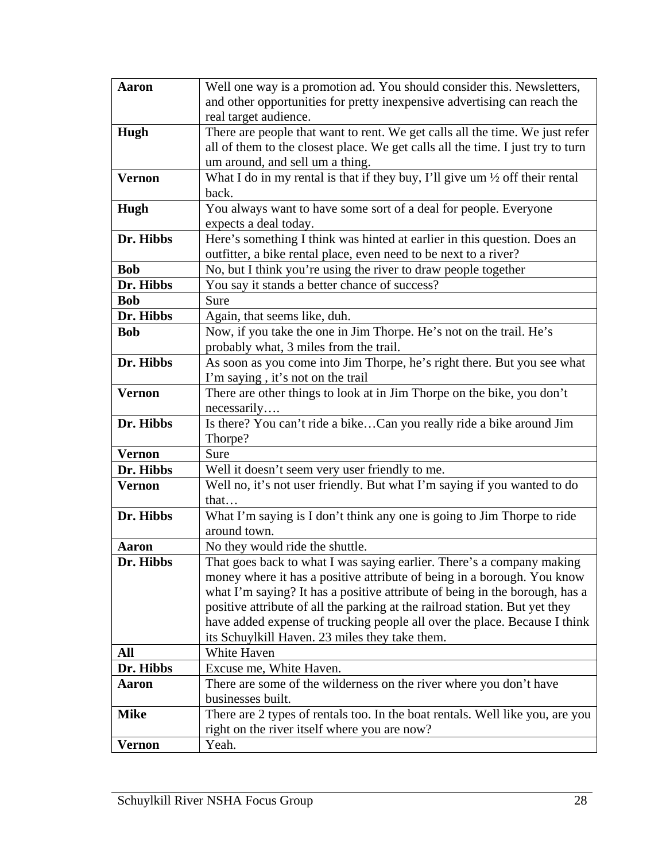| <b>Aaron</b>  | Well one way is a promotion ad. You should consider this. Newsletters,                  |
|---------------|-----------------------------------------------------------------------------------------|
|               | and other opportunities for pretty inexpensive advertising can reach the                |
|               | real target audience.                                                                   |
| Hugh          | There are people that want to rent. We get calls all the time. We just refer            |
|               | all of them to the closest place. We get calls all the time. I just try to turn         |
|               | um around, and sell um a thing.                                                         |
| <b>Vernon</b> | What I do in my rental is that if they buy, I'll give um $\frac{1}{2}$ off their rental |
|               | back.                                                                                   |
| Hugh          | You always want to have some sort of a deal for people. Everyone                        |
|               | expects a deal today.                                                                   |
| Dr. Hibbs     | Here's something I think was hinted at earlier in this question. Does an                |
|               | outfitter, a bike rental place, even need to be next to a river?                        |
| <b>Bob</b>    | No, but I think you're using the river to draw people together                          |
| Dr. Hibbs     | You say it stands a better chance of success?                                           |
| <b>Bob</b>    | Sure                                                                                    |
| Dr. Hibbs     | Again, that seems like, duh.                                                            |
| <b>Bob</b>    | Now, if you take the one in Jim Thorpe. He's not on the trail. He's                     |
|               | probably what, 3 miles from the trail.                                                  |
| Dr. Hibbs     | As soon as you come into Jim Thorpe, he's right there. But you see what                 |
|               | I'm saying, it's not on the trail                                                       |
| <b>Vernon</b> | There are other things to look at in Jim Thorpe on the bike, you don't                  |
|               | necessarily                                                                             |
| Dr. Hibbs     | Is there? You can't ride a bikeCan you really ride a bike around Jim                    |
|               | Thorpe?                                                                                 |
| <b>Vernon</b> | Sure                                                                                    |
| Dr. Hibbs     | Well it doesn't seem very user friendly to me.                                          |
| <b>Vernon</b> | Well no, it's not user friendly. But what I'm saying if you wanted to do                |
|               | that                                                                                    |
| Dr. Hibbs     | What I'm saying is I don't think any one is going to Jim Thorpe to ride                 |
|               | around town.                                                                            |
| <b>Aaron</b>  | No they would ride the shuttle.                                                         |
| Dr. Hibbs     | That goes back to what I was saying earlier. There's a company making                   |
|               | money where it has a positive attribute of being in a borough. You know                 |
|               | what I'm saying? It has a positive attribute of being in the borough, has a             |
|               | positive attribute of all the parking at the railroad station. But yet they             |
|               | have added expense of trucking people all over the place. Because I think               |
|               | its Schuylkill Haven. 23 miles they take them.                                          |
| All           | White Haven                                                                             |
| Dr. Hibbs     | Excuse me, White Haven.                                                                 |
| Aaron         | There are some of the wilderness on the river where you don't have                      |
|               | businesses built.                                                                       |
| <b>Mike</b>   | There are 2 types of rentals too. In the boat rentals. Well like you, are you           |
|               | right on the river itself where you are now?                                            |
| Vernon        | Yeah.                                                                                   |
|               |                                                                                         |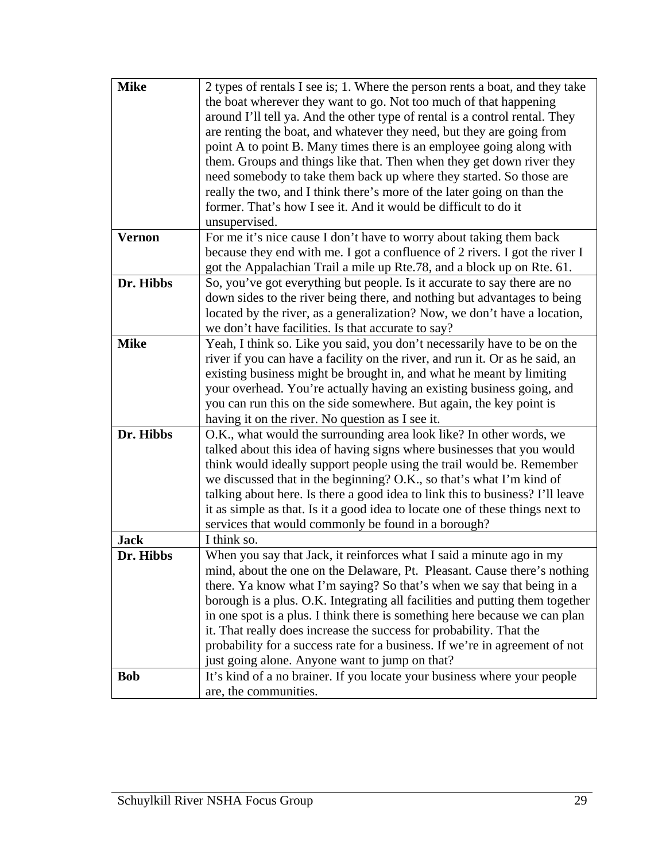| <b>Mike</b>   | 2 types of rentals I see is; 1. Where the person rents a boat, and they take<br>the boat wherever they want to go. Not too much of that happening<br>around I'll tell ya. And the other type of rental is a control rental. They<br>are renting the boat, and whatever they need, but they are going from<br>point A to point B. Many times there is an employee going along with<br>them. Groups and things like that. Then when they get down river they<br>need somebody to take them back up where they started. So those are<br>really the two, and I think there's more of the later going on than the<br>former. That's how I see it. And it would be difficult to do it |
|---------------|---------------------------------------------------------------------------------------------------------------------------------------------------------------------------------------------------------------------------------------------------------------------------------------------------------------------------------------------------------------------------------------------------------------------------------------------------------------------------------------------------------------------------------------------------------------------------------------------------------------------------------------------------------------------------------|
| <b>Vernon</b> | unsupervised.<br>For me it's nice cause I don't have to worry about taking them back<br>because they end with me. I got a confluence of 2 rivers. I got the river I<br>got the Appalachian Trail a mile up Rte.78, and a block up on Rte. 61.                                                                                                                                                                                                                                                                                                                                                                                                                                   |
| Dr. Hibbs     | So, you've got everything but people. Is it accurate to say there are no<br>down sides to the river being there, and nothing but advantages to being<br>located by the river, as a generalization? Now, we don't have a location,<br>we don't have facilities. Is that accurate to say?                                                                                                                                                                                                                                                                                                                                                                                         |
| <b>Mike</b>   | Yeah, I think so. Like you said, you don't necessarily have to be on the<br>river if you can have a facility on the river, and run it. Or as he said, an<br>existing business might be brought in, and what he meant by limiting<br>your overhead. You're actually having an existing business going, and<br>you can run this on the side somewhere. But again, the key point is<br>having it on the river. No question as I see it.                                                                                                                                                                                                                                            |
| Dr. Hibbs     | O.K., what would the surrounding area look like? In other words, we<br>talked about this idea of having signs where businesses that you would<br>think would ideally support people using the trail would be. Remember<br>we discussed that in the beginning? O.K., so that's what I'm kind of<br>talking about here. Is there a good idea to link this to business? I'll leave<br>it as simple as that. Is it a good idea to locate one of these things next to<br>services that would commonly be found in a borough?                                                                                                                                                         |
| <b>Jack</b>   | I think so.                                                                                                                                                                                                                                                                                                                                                                                                                                                                                                                                                                                                                                                                     |
| Dr. Hibbs     | When you say that Jack, it reinforces what I said a minute ago in my<br>mind, about the one on the Delaware, Pt. Pleasant. Cause there's nothing<br>there. Ya know what I'm saying? So that's when we say that being in a<br>borough is a plus. O.K. Integrating all facilities and putting them together<br>in one spot is a plus. I think there is something here because we can plan<br>it. That really does increase the success for probability. That the<br>probability for a success rate for a business. If we're in agreement of not<br>just going alone. Anyone want to jump on that?                                                                                 |
| <b>Bob</b>    | It's kind of a no brainer. If you locate your business where your people<br>are, the communities.                                                                                                                                                                                                                                                                                                                                                                                                                                                                                                                                                                               |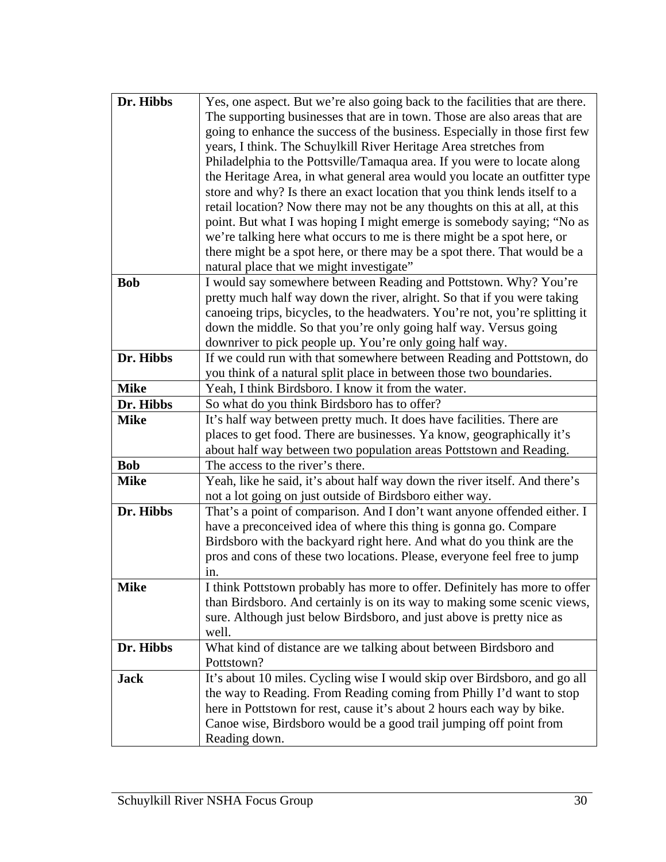| Dr. Hibbs   | Yes, one aspect. But we're also going back to the facilities that are there.   |
|-------------|--------------------------------------------------------------------------------|
|             | The supporting businesses that are in town. Those are also areas that are      |
|             | going to enhance the success of the business. Especially in those first few    |
|             | years, I think. The Schuylkill River Heritage Area stretches from              |
|             | Philadelphia to the Pottsville/Tamaqua area. If you were to locate along       |
|             | the Heritage Area, in what general area would you locate an outfitter type     |
|             | store and why? Is there an exact location that you think lends itself to a     |
|             | retail location? Now there may not be any thoughts on this at all, at this     |
|             | point. But what I was hoping I might emerge is somebody saying; "No as         |
|             | we're talking here what occurs to me is there might be a spot here, or         |
|             | there might be a spot here, or there may be a spot there. That would be a      |
|             | natural place that we might investigate"                                       |
| <b>Bob</b>  | I would say somewhere between Reading and Pottstown. Why? You're               |
|             | pretty much half way down the river, alright. So that if you were taking       |
|             | canoeing trips, bicycles, to the headwaters. You're not, you're splitting it   |
|             | down the middle. So that you're only going half way. Versus going              |
|             | downriver to pick people up. You're only going half way.                       |
| Dr. Hibbs   | If we could run with that somewhere between Reading and Pottstown, do          |
|             | you think of a natural split place in between those two boundaries.            |
| <b>Mike</b> | Yeah, I think Birdsboro. I know it from the water.                             |
| Dr. Hibbs   | So what do you think Birdsboro has to offer?                                   |
| <b>Mike</b> | It's half way between pretty much. It does have facilities. There are          |
|             | places to get food. There are businesses. Ya know, geographically it's         |
|             | about half way between two population areas Pottstown and Reading.             |
| <b>Bob</b>  | The access to the river's there.                                               |
| <b>Mike</b> | Yeah, like he said, it's about half way down the river itself. And there's     |
|             | not a lot going on just outside of Birdsboro either way.                       |
| Dr. Hibbs   | That's a point of comparison. And I don't want anyone offended either. I       |
|             | have a preconceived idea of where this thing is gonna go. Compare              |
|             | Birdsboro with the backyard right here. And what do you think are the          |
|             | pros and cons of these two locations. Please, everyone feel free to jump       |
|             | in.                                                                            |
| <b>Mike</b> | I think Pottstown probably has more to offer. Definitely has more to offer     |
|             | than Birdsboro. And certainly is on its way to making some scenic views,       |
|             | sure. Although just below Birdsboro, and just above is pretty nice as<br>well. |
| Dr. Hibbs   | What kind of distance are we talking about between Birdsboro and               |
|             | Pottstown?                                                                     |
| <b>Jack</b> | It's about 10 miles. Cycling wise I would skip over Birdsboro, and go all      |
|             | the way to Reading. From Reading coming from Philly I'd want to stop           |
|             | here in Pottstown for rest, cause it's about 2 hours each way by bike.         |
|             | Canoe wise, Birdsboro would be a good trail jumping off point from             |
|             | Reading down.                                                                  |
|             |                                                                                |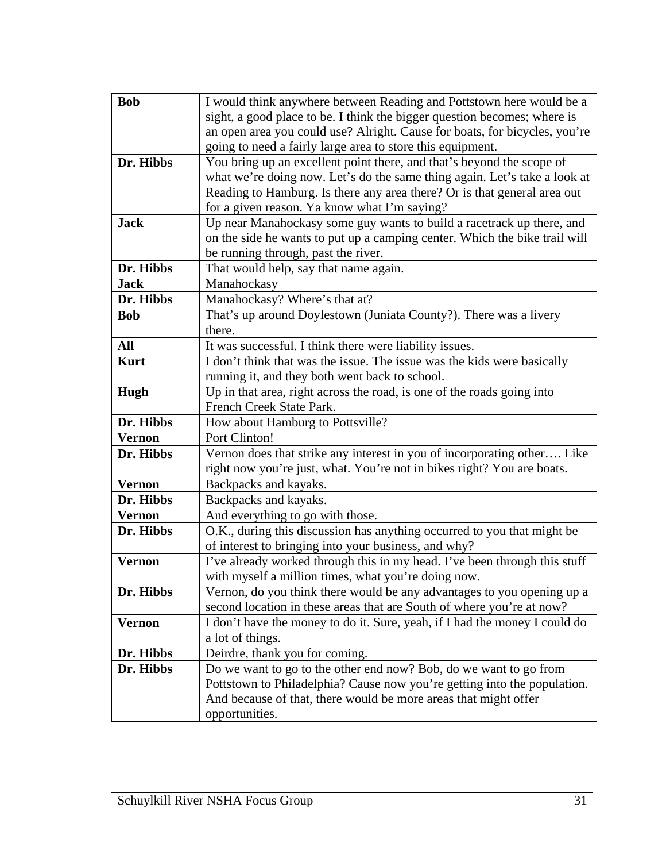| <b>Bob</b>    | I would think anywhere between Reading and Pottstown here would be a       |
|---------------|----------------------------------------------------------------------------|
|               | sight, a good place to be. I think the bigger question becomes; where is   |
|               | an open area you could use? Alright. Cause for boats, for bicycles, you're |
|               | going to need a fairly large area to store this equipment.                 |
| Dr. Hibbs     | You bring up an excellent point there, and that's beyond the scope of      |
|               | what we're doing now. Let's do the same thing again. Let's take a look at  |
|               | Reading to Hamburg. Is there any area there? Or is that general area out   |
|               | for a given reason. Ya know what I'm saying?                               |
| <b>Jack</b>   | Up near Manahockasy some guy wants to build a racetrack up there, and      |
|               | on the side he wants to put up a camping center. Which the bike trail will |
|               | be running through, past the river.                                        |
| Dr. Hibbs     | That would help, say that name again.                                      |
| <b>Jack</b>   | Manahockasy                                                                |
| Dr. Hibbs     | Manahockasy? Where's that at?                                              |
| <b>Bob</b>    | That's up around Doylestown (Juniata County?). There was a livery          |
|               | there.                                                                     |
| <b>All</b>    | It was successful. I think there were liability issues.                    |
| <b>Kurt</b>   | I don't think that was the issue. The issue was the kids were basically    |
|               | running it, and they both went back to school.                             |
| Hugh          | Up in that area, right across the road, is one of the roads going into     |
|               | French Creek State Park.                                                   |
| Dr. Hibbs     | How about Hamburg to Pottsville?                                           |
| <b>Vernon</b> | Port Clinton!                                                              |
| Dr. Hibbs     | Vernon does that strike any interest in you of incorporating other Like    |
|               | right now you're just, what. You're not in bikes right? You are boats.     |
| <b>Vernon</b> | Backpacks and kayaks.                                                      |
| Dr. Hibbs     | Backpacks and kayaks.                                                      |
| <b>Vernon</b> | And everything to go with those.                                           |
| Dr. Hibbs     | O.K., during this discussion has anything occurred to you that might be    |
|               | of interest to bringing into your business, and why?                       |
| <b>Vernon</b> | I've already worked through this in my head. I've been through this stuff  |
|               | with myself a million times, what you're doing now.                        |
| Dr. Hibbs     | Vernon, do you think there would be any advantages to you opening up a     |
|               | second location in these areas that are South of where you're at now?      |
| <b>Vernon</b> | I don't have the money to do it. Sure, yeah, if I had the money I could do |
|               | a lot of things.                                                           |
| Dr. Hibbs     | Deirdre, thank you for coming.                                             |
| Dr. Hibbs     | Do we want to go to the other end now? Bob, do we want to go from          |
|               | Pottstown to Philadelphia? Cause now you're getting into the population.   |
|               | And because of that, there would be more areas that might offer            |
|               | opportunities.                                                             |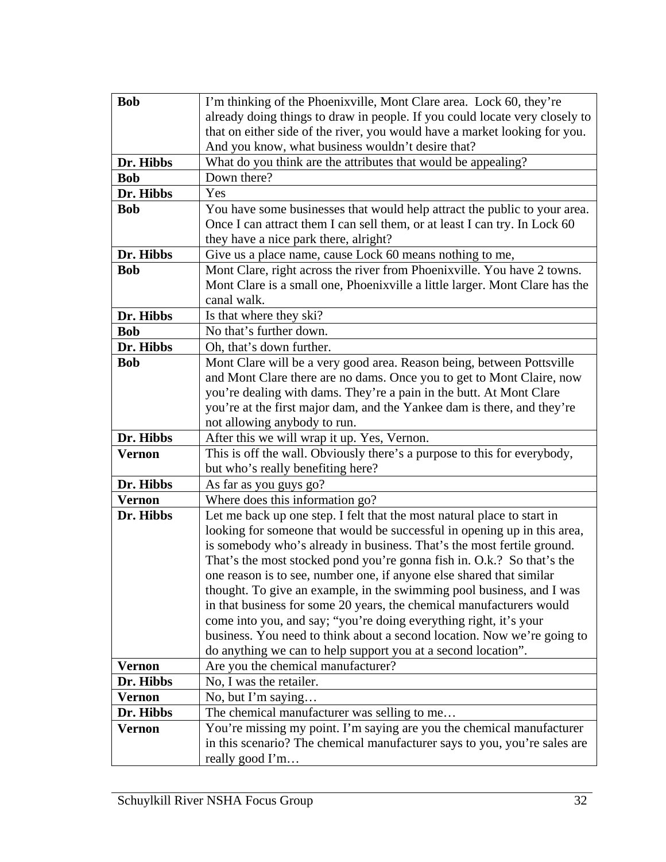| <b>Bob</b>    | I'm thinking of the Phoenixville, Mont Clare area. Lock 60, they're                                                                              |
|---------------|--------------------------------------------------------------------------------------------------------------------------------------------------|
|               | already doing things to draw in people. If you could locate very closely to                                                                      |
|               | that on either side of the river, you would have a market looking for you.                                                                       |
|               | And you know, what business wouldn't desire that?                                                                                                |
| Dr. Hibbs     | What do you think are the attributes that would be appealing?                                                                                    |
| <b>Bob</b>    | Down there?                                                                                                                                      |
| Dr. Hibbs     | Yes                                                                                                                                              |
| <b>Bob</b>    | You have some businesses that would help attract the public to your area.                                                                        |
|               | Once I can attract them I can sell them, or at least I can try. In Lock 60                                                                       |
|               | they have a nice park there, alright?                                                                                                            |
| Dr. Hibbs     | Give us a place name, cause Lock 60 means nothing to me,                                                                                         |
| <b>Bob</b>    | Mont Clare, right across the river from Phoenixville. You have 2 towns.                                                                          |
|               | Mont Clare is a small one, Phoenixville a little larger. Mont Clare has the                                                                      |
|               | canal walk.                                                                                                                                      |
| Dr. Hibbs     | Is that where they ski?                                                                                                                          |
| <b>Bob</b>    | No that's further down.                                                                                                                          |
| Dr. Hibbs     | Oh, that's down further.                                                                                                                         |
| <b>Bob</b>    | Mont Clare will be a very good area. Reason being, between Pottsville                                                                            |
|               | and Mont Clare there are no dams. Once you to get to Mont Claire, now                                                                            |
|               | you're dealing with dams. They're a pain in the butt. At Mont Clare                                                                              |
|               | you're at the first major dam, and the Yankee dam is there, and they're                                                                          |
|               | not allowing anybody to run.                                                                                                                     |
| Dr. Hibbs     | After this we will wrap it up. Yes, Vernon.                                                                                                      |
| <b>Vernon</b> | This is off the wall. Obviously there's a purpose to this for everybody,                                                                         |
|               | but who's really benefiting here?                                                                                                                |
| Dr. Hibbs     | As far as you guys go?                                                                                                                           |
| <b>Vernon</b> | Where does this information go?                                                                                                                  |
| Dr. Hibbs     | Let me back up one step. I felt that the most natural place to start in                                                                          |
|               | looking for someone that would be successful in opening up in this area,                                                                         |
|               | is somebody who's already in business. That's the most fertile ground.<br>That's the most stocked pond you're gonna fish in. O.k.? So that's the |
|               | one reason is to see, number one, if anyone else shared that similar                                                                             |
|               | thought. To give an example, in the swimming pool business, and I was                                                                            |
|               | in that business for some 20 years, the chemical manufacturers would                                                                             |
|               | come into you, and say; "you're doing everything right, it's your                                                                                |
|               | business. You need to think about a second location. Now we're going to                                                                          |
|               | do anything we can to help support you at a second location".                                                                                    |
| <b>Vernon</b> | Are you the chemical manufacturer?                                                                                                               |
| Dr. Hibbs     | No, I was the retailer.                                                                                                                          |
| <b>Vernon</b> | No, but I'm saying                                                                                                                               |
| Dr. Hibbs     | The chemical manufacturer was selling to me                                                                                                      |
| <b>Vernon</b> | You're missing my point. I'm saying are you the chemical manufacturer                                                                            |
|               | in this scenario? The chemical manufacturer says to you, you're sales are                                                                        |
|               | really good I'm                                                                                                                                  |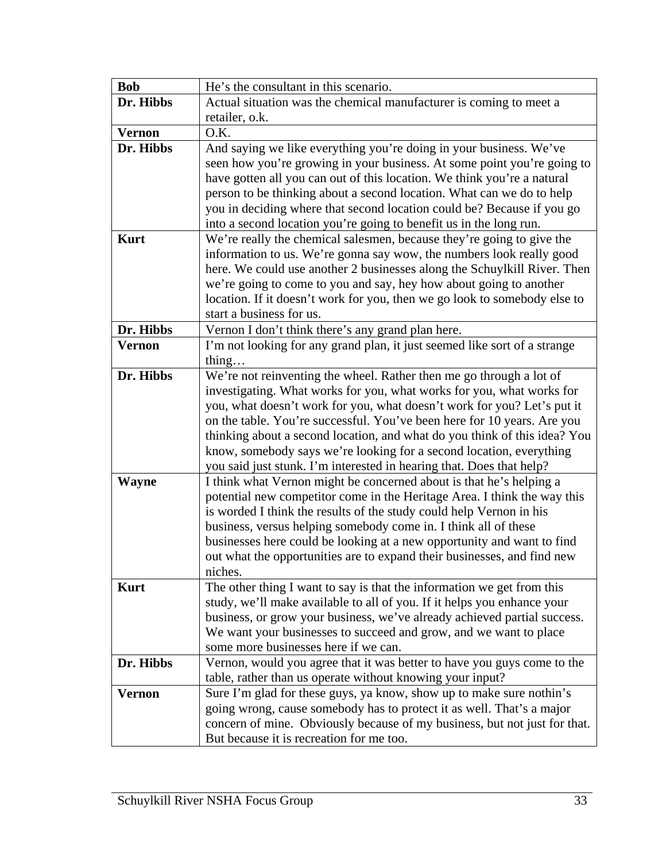| <b>Bob</b>    | He's the consultant in this scenario.                                                                     |
|---------------|-----------------------------------------------------------------------------------------------------------|
| Dr. Hibbs     | Actual situation was the chemical manufacturer is coming to meet a                                        |
|               | retailer, o.k.                                                                                            |
| <b>Vernon</b> | O.K.                                                                                                      |
| Dr. Hibbs     | And saying we like everything you're doing in your business. We've                                        |
|               | seen how you're growing in your business. At some point you're going to                                   |
|               | have gotten all you can out of this location. We think you're a natural                                   |
|               | person to be thinking about a second location. What can we do to help                                     |
|               | you in deciding where that second location could be? Because if you go                                    |
|               | into a second location you're going to benefit us in the long run.                                        |
| <b>Kurt</b>   | We're really the chemical salesmen, because they're going to give the                                     |
|               | information to us. We're gonna say wow, the numbers look really good                                      |
|               | here. We could use another 2 businesses along the Schuylkill River. Then                                  |
|               | we're going to come to you and say, hey how about going to another                                        |
|               | location. If it doesn't work for you, then we go look to somebody else to                                 |
|               | start a business for us.                                                                                  |
| Dr. Hibbs     | Vernon I don't think there's any grand plan here.                                                         |
| <b>Vernon</b> | I'm not looking for any grand plan, it just seemed like sort of a strange                                 |
|               | thing                                                                                                     |
| Dr. Hibbs     | We're not reinventing the wheel. Rather then me go through a lot of                                       |
|               | investigating. What works for you, what works for you, what works for                                     |
|               | you, what doesn't work for you, what doesn't work for you? Let's put it                                   |
|               | on the table. You're successful. You've been here for 10 years. Are you                                   |
|               | thinking about a second location, and what do you think of this idea? You                                 |
|               | know, somebody says we're looking for a second location, everything                                       |
|               | you said just stunk. I'm interested in hearing that. Does that help?                                      |
| <b>Wayne</b>  | I think what Vernon might be concerned about is that he's helping a                                       |
|               | potential new competitor come in the Heritage Area. I think the way this                                  |
|               | is worded I think the results of the study could help Vernon in his                                       |
|               | business, versus helping somebody come in. I think all of these                                           |
|               | businesses here could be looking at a new opportunity and want to find                                    |
|               | out what the opportunities are to expand their businesses, and find new                                   |
|               | niches.                                                                                                   |
| <b>Kurt</b>   | The other thing I want to say is that the information we get from this                                    |
|               | study, we'll make available to all of you. If it helps you enhance your                                   |
|               | business, or grow your business, we've already achieved partial success.                                  |
|               | We want your businesses to succeed and grow, and we want to place<br>some more businesses here if we can. |
| Dr. Hibbs     |                                                                                                           |
|               | Vernon, would you agree that it was better to have you guys come to the                                   |
|               | table, rather than us operate without knowing your input?                                                 |
| <b>Vernon</b> | Sure I'm glad for these guys, ya know, show up to make sure nothin's                                      |
|               | going wrong, cause somebody has to protect it as well. That's a major                                     |
|               | concern of mine. Obviously because of my business, but not just for that.                                 |
|               | But because it is recreation for me too.                                                                  |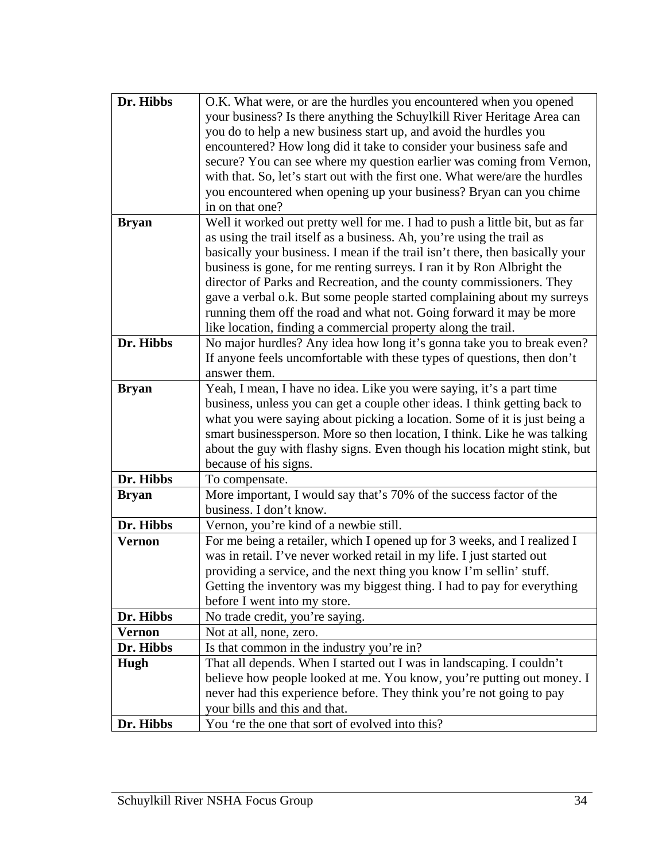| Dr. Hibbs     | O.K. What were, or are the hurdles you encountered when you opened<br>your business? Is there anything the Schuylkill River Heritage Area can<br>you do to help a new business start up, and avoid the hurdles you<br>encountered? How long did it take to consider your business safe and<br>secure? You can see where my question earlier was coming from Vernon,<br>with that. So, let's start out with the first one. What were/are the hurdles<br>you encountered when opening up your business? Bryan can you chime<br>in on that one? |
|---------------|----------------------------------------------------------------------------------------------------------------------------------------------------------------------------------------------------------------------------------------------------------------------------------------------------------------------------------------------------------------------------------------------------------------------------------------------------------------------------------------------------------------------------------------------|
| <b>Bryan</b>  | Well it worked out pretty well for me. I had to push a little bit, but as far                                                                                                                                                                                                                                                                                                                                                                                                                                                                |
|               | as using the trail itself as a business. Ah, you're using the trail as                                                                                                                                                                                                                                                                                                                                                                                                                                                                       |
|               | basically your business. I mean if the trail isn't there, then basically your                                                                                                                                                                                                                                                                                                                                                                                                                                                                |
|               | business is gone, for me renting surreys. I ran it by Ron Albright the                                                                                                                                                                                                                                                                                                                                                                                                                                                                       |
|               | director of Parks and Recreation, and the county commissioners. They                                                                                                                                                                                                                                                                                                                                                                                                                                                                         |
|               | gave a verbal o.k. But some people started complaining about my surreys                                                                                                                                                                                                                                                                                                                                                                                                                                                                      |
|               | running them off the road and what not. Going forward it may be more                                                                                                                                                                                                                                                                                                                                                                                                                                                                         |
|               | like location, finding a commercial property along the trail.                                                                                                                                                                                                                                                                                                                                                                                                                                                                                |
| Dr. Hibbs     | No major hurdles? Any idea how long it's gonna take you to break even?                                                                                                                                                                                                                                                                                                                                                                                                                                                                       |
|               | If anyone feels uncomfortable with these types of questions, then don't                                                                                                                                                                                                                                                                                                                                                                                                                                                                      |
|               | answer them.                                                                                                                                                                                                                                                                                                                                                                                                                                                                                                                                 |
| <b>Bryan</b>  | Yeah, I mean, I have no idea. Like you were saying, it's a part time                                                                                                                                                                                                                                                                                                                                                                                                                                                                         |
|               | business, unless you can get a couple other ideas. I think getting back to                                                                                                                                                                                                                                                                                                                                                                                                                                                                   |
|               | what you were saying about picking a location. Some of it is just being a                                                                                                                                                                                                                                                                                                                                                                                                                                                                    |
|               | smart businessperson. More so then location, I think. Like he was talking                                                                                                                                                                                                                                                                                                                                                                                                                                                                    |
|               | about the guy with flashy signs. Even though his location might stink, but                                                                                                                                                                                                                                                                                                                                                                                                                                                                   |
|               | because of his signs.                                                                                                                                                                                                                                                                                                                                                                                                                                                                                                                        |
| Dr. Hibbs     | To compensate.                                                                                                                                                                                                                                                                                                                                                                                                                                                                                                                               |
| <b>Bryan</b>  | More important, I would say that's 70% of the success factor of the                                                                                                                                                                                                                                                                                                                                                                                                                                                                          |
|               | business. I don't know.                                                                                                                                                                                                                                                                                                                                                                                                                                                                                                                      |
| Dr. Hibbs     | Vernon, you're kind of a newbie still.                                                                                                                                                                                                                                                                                                                                                                                                                                                                                                       |
| <b>Vernon</b> | For me being a retailer, which I opened up for 3 weeks, and I realized I                                                                                                                                                                                                                                                                                                                                                                                                                                                                     |
|               | was in retail. I've never worked retail in my life. I just started out                                                                                                                                                                                                                                                                                                                                                                                                                                                                       |
|               | providing a service, and the next thing you know I'm sellin' stuff.<br>Getting the inventory was my biggest thing. I had to pay for everything                                                                                                                                                                                                                                                                                                                                                                                               |
|               | before I went into my store.                                                                                                                                                                                                                                                                                                                                                                                                                                                                                                                 |
| Dr. Hibbs     | No trade credit, you're saying.                                                                                                                                                                                                                                                                                                                                                                                                                                                                                                              |
| <b>Vernon</b> | Not at all, none, zero.                                                                                                                                                                                                                                                                                                                                                                                                                                                                                                                      |
| Dr. Hibbs     |                                                                                                                                                                                                                                                                                                                                                                                                                                                                                                                                              |
|               | Is that common in the industry you're in?<br>That all depends. When I started out I was in landscaping. I couldn't                                                                                                                                                                                                                                                                                                                                                                                                                           |
| Hugh          | believe how people looked at me. You know, you're putting out money. I                                                                                                                                                                                                                                                                                                                                                                                                                                                                       |
|               | never had this experience before. They think you're not going to pay                                                                                                                                                                                                                                                                                                                                                                                                                                                                         |
|               | your bills and this and that.                                                                                                                                                                                                                                                                                                                                                                                                                                                                                                                |
| Dr. Hibbs     | You 're the one that sort of evolved into this?                                                                                                                                                                                                                                                                                                                                                                                                                                                                                              |
|               |                                                                                                                                                                                                                                                                                                                                                                                                                                                                                                                                              |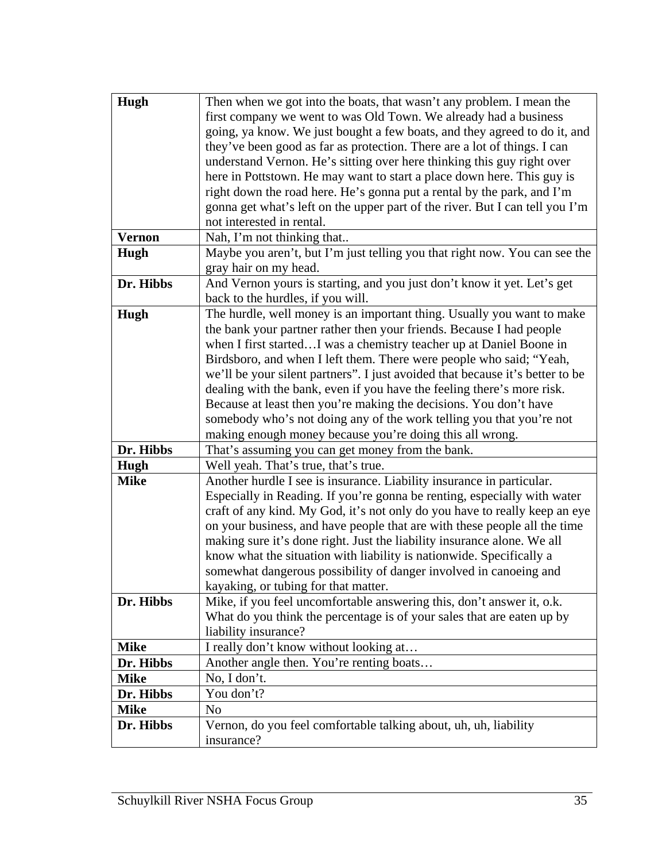| Hugh          | Then when we got into the boats, that wasn't any problem. I mean the                                      |
|---------------|-----------------------------------------------------------------------------------------------------------|
|               | first company we went to was Old Town. We already had a business                                          |
|               | going, ya know. We just bought a few boats, and they agreed to do it, and                                 |
|               | they've been good as far as protection. There are a lot of things. I can                                  |
|               | understand Vernon. He's sitting over here thinking this guy right over                                    |
|               | here in Pottstown. He may want to start a place down here. This guy is                                    |
|               |                                                                                                           |
|               | right down the road here. He's gonna put a rental by the park, and I'm                                    |
|               | gonna get what's left on the upper part of the river. But I can tell you I'm<br>not interested in rental. |
| <b>Vernon</b> | Nah, I'm not thinking that                                                                                |
| Hugh          | Maybe you aren't, but I'm just telling you that right now. You can see the                                |
|               | gray hair on my head.                                                                                     |
| Dr. Hibbs     | And Vernon yours is starting, and you just don't know it yet. Let's get                                   |
|               | back to the hurdles, if you will.                                                                         |
| Hugh          | The hurdle, well money is an important thing. Usually you want to make                                    |
|               | the bank your partner rather then your friends. Because I had people                                      |
|               | when I first startedI was a chemistry teacher up at Daniel Boone in                                       |
|               | Birdsboro, and when I left them. There were people who said; "Yeah,                                       |
|               | we'll be your silent partners". I just avoided that because it's better to be                             |
|               | dealing with the bank, even if you have the feeling there's more risk.                                    |
|               | Because at least then you're making the decisions. You don't have                                         |
|               | somebody who's not doing any of the work telling you that you're not                                      |
|               | making enough money because you're doing this all wrong.                                                  |
| Dr. Hibbs     | That's assuming you can get money from the bank.                                                          |
|               |                                                                                                           |
| Hugh          | Well yeah. That's true, that's true.                                                                      |
| <b>Mike</b>   | Another hurdle I see is insurance. Liability insurance in particular.                                     |
|               | Especially in Reading. If you're gonna be renting, especially with water                                  |
|               | craft of any kind. My God, it's not only do you have to really keep an eye                                |
|               | on your business, and have people that are with these people all the time                                 |
|               | making sure it's done right. Just the liability insurance alone. We all                                   |
|               | know what the situation with liability is nationwide. Specifically a                                      |
|               | somewhat dangerous possibility of danger involved in canoeing and                                         |
|               | kayaking, or tubing for that matter.                                                                      |
| Dr. Hibbs     | Mike, if you feel uncomfortable answering this, don't answer it, o.k.                                     |
|               | What do you think the percentage is of your sales that are eaten up by                                    |
|               | liability insurance?                                                                                      |
| <b>Mike</b>   | I really don't know without looking at                                                                    |
| Dr. Hibbs     | Another angle then. You're renting boats                                                                  |
| <b>Mike</b>   | No, I don't.                                                                                              |
| Dr. Hibbs     | You don't?                                                                                                |
| <b>Mike</b>   | No                                                                                                        |
| Dr. Hibbs     | Vernon, do you feel comfortable talking about, uh, uh, liability                                          |
|               | insurance?                                                                                                |